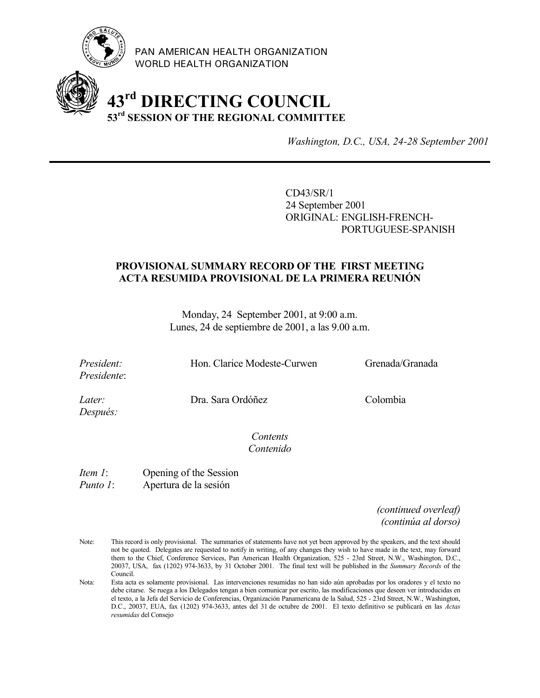

PAN AMERICAN HEALTH ORGANIZATION WORLD HEALTH ORGANIZATION

# **43rd DIRECTING COUNCIL 53rd SESSION OF THE REGIONAL COMMITTEE**

*Washington, D.C., USA, 24-28 September 2001*

CD43/SR/1 24 September 2001 ORIGINAL: ENGLISH-FRENCH-PORTUGUESE-SPANISH

#### **PROVISIONAL SUMMARY RECORD OF THE FIRST MEETING ACTA RESUMIDA PROVISIONAL DE LA PRIMERA REUNIÓN**

Monday, 24 September 2001, at 9:00 a.m. Lunes, 24 de septiembre de 2001, a las 9.00 a.m.

*Presidente*:

*President:* Hon. Clarice Modeste-Curwen Grenada/Granada

*Después:*

*Later:* Dra. Sara Ordóñez Colombia

*Contents Contenido*

*Item 1*: Opening of the Session *Punto 1*: Apertura de la sesión

> *(continued overleaf) (continúa al dorso)*

- Note: This record is only provisional. The summaries of statements have not yet been approved by the speakers, and the text should not be quoted. Delegates are requested to notify in writing, of any changes they wish to have made in the text, may forward them to the Chief, Conference Services, Pan American Health Organization, 525 - 23rd Street, N.W., Washington, D.C., 20037, USA, fax (1202) 974-3633, by 31 October 2001. The final text will be published in the *Summary Records* of the Council.
- Nota: Esta acta es solamente provisional. Las intervenciones resumidas no han sido aún aprobadas por los oradores y el texto no debe citarse. Se ruega a los Delegados tengan a bien comunicar por escrito, las modificaciones que deseen ver introducidas en el texto, a la Jefa del Servicio de Conferencias, Organización Panamericana de la Salud, 525 - 23rd Street, N.W., Washington, D.C., 20037, EUA, fax (1202) 974-3633, antes del 31 de octubre de 2001. El texto definitivo se publicará en las *Actas resumidas* del Consejo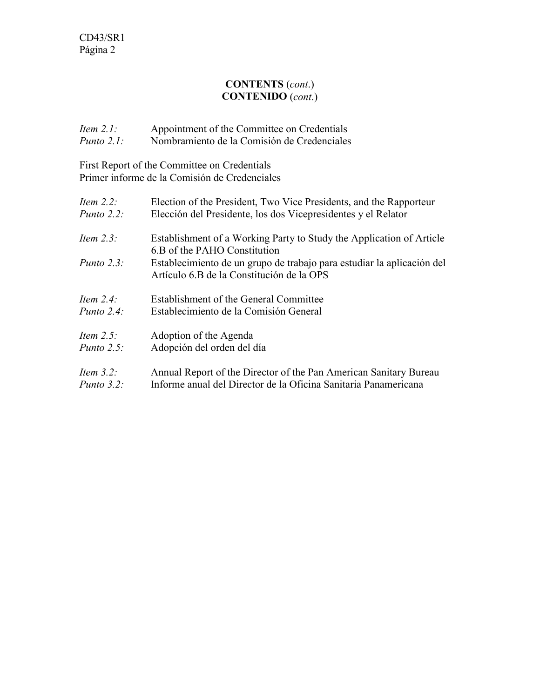#### **CONTENTS** (*cont*.) **CONTENIDO** (*cont*.)

| Item $2.1$ :  | Appointment of the Committee on Credentials |
|---------------|---------------------------------------------|
| Punto $2.1$ : | Nombramiento de la Comisión de Credenciales |

First Report of the Committee on Credentials Primer informe de la Comisión de Credenciales

| Item $2.2$ :                  | Election of the President, Two Vice Presidents, and the Rapporteur                                                                                                                                                          |
|-------------------------------|-----------------------------------------------------------------------------------------------------------------------------------------------------------------------------------------------------------------------------|
| Punto $2.2$ :                 | Elección del Presidente, los dos Vicepresidentes y el Relator                                                                                                                                                               |
| Item $2.3$ :<br>Punto $2.3$ : | Establishment of a Working Party to Study the Application of Article<br>6.B of the PAHO Constitution<br>Establecimiento de un grupo de trabajo para estudiar la aplicación del<br>Artículo 6.B de la Constitución de la OPS |
| Item $2.4$ :                  | Establishment of the General Committee                                                                                                                                                                                      |
| Punto $2.4^{\circ}$           | Establecimiento de la Comisión General                                                                                                                                                                                      |
| Item $2.5$ :                  | Adoption of the Agenda                                                                                                                                                                                                      |
| Punto $2.5$ :                 | Adopción del orden del día                                                                                                                                                                                                  |
| Item $3.2$ :                  | Annual Report of the Director of the Pan American Sanitary Bureau                                                                                                                                                           |
| Punto $3.2$ :                 | Informe anual del Director de la Oficina Sanitaria Panamericana                                                                                                                                                             |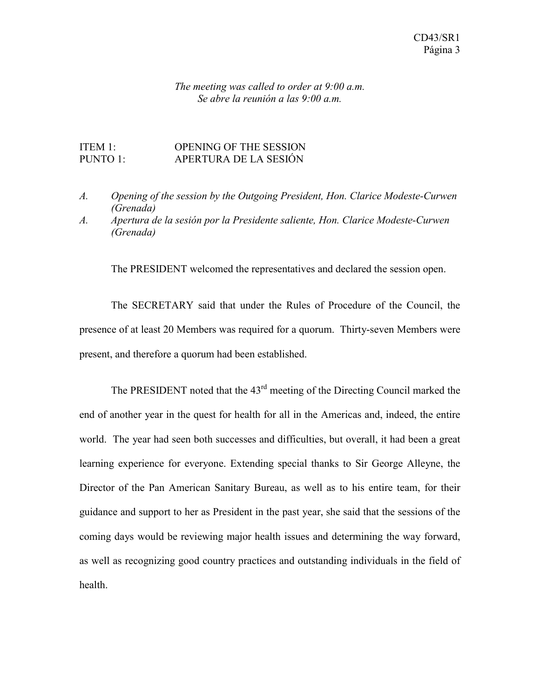#### *The meeting was called to order at 9:00 a.m. Se abre la reunión a las 9:00 a.m.*

#### ITEM 1: OPENING OF THE SESSION PUNTO 1: APERTURA DE LA SESIÓN

- *A. Opening of the session by the Outgoing President, Hon. Clarice Modeste-Curwen (Grenada)*
- *A. Apertura de la sesión por la Presidente saliente, Hon. Clarice Modeste-Curwen (Grenada)*

The PRESIDENT welcomed the representatives and declared the session open.

The SECRETARY said that under the Rules of Procedure of the Council, the presence of at least 20 Members was required for a quorum. Thirty-seven Members were present, and therefore a quorum had been established.

The PRESIDENT noted that the  $43<sup>rd</sup>$  meeting of the Directing Council marked the end of another year in the quest for health for all in the Americas and, indeed, the entire world. The year had seen both successes and difficulties, but overall, it had been a great learning experience for everyone. Extending special thanks to Sir George Alleyne, the Director of the Pan American Sanitary Bureau, as well as to his entire team, for their guidance and support to her as President in the past year, she said that the sessions of the coming days would be reviewing major health issues and determining the way forward, as well as recognizing good country practices and outstanding individuals in the field of health.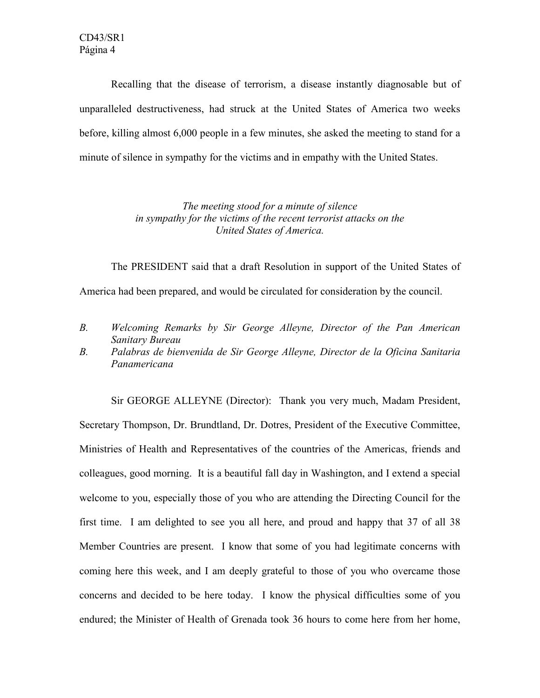Recalling that the disease of terrorism, a disease instantly diagnosable but of unparalleled destructiveness, had struck at the United States of America two weeks before, killing almost 6,000 people in a few minutes, she asked the meeting to stand for a minute of silence in sympathy for the victims and in empathy with the United States.

> *The meeting stood for a minute of silence in sympathy for the victims of the recent terrorist attacks on the United States of America.*

The PRESIDENT said that a draft Resolution in support of the United States of America had been prepared, and would be circulated for consideration by the council.

- *B. Welcoming Remarks by Sir George Alleyne, Director of the Pan American Sanitary Bureau*
- *B. Palabras de bienvenida de Sir George Alleyne, Director de la Oficina Sanitaria Panamericana*

Sir GEORGE ALLEYNE (Director): Thank you very much, Madam President, Secretary Thompson, Dr. Brundtland, Dr. Dotres, President of the Executive Committee, Ministries of Health and Representatives of the countries of the Americas, friends and colleagues, good morning. It is a beautiful fall day in Washington, and I extend a special welcome to you, especially those of you who are attending the Directing Council for the first time. I am delighted to see you all here, and proud and happy that 37 of all 38 Member Countries are present. I know that some of you had legitimate concerns with coming here this week, and I am deeply grateful to those of you who overcame those concerns and decided to be here today. I know the physical difficulties some of you endured; the Minister of Health of Grenada took 36 hours to come here from her home,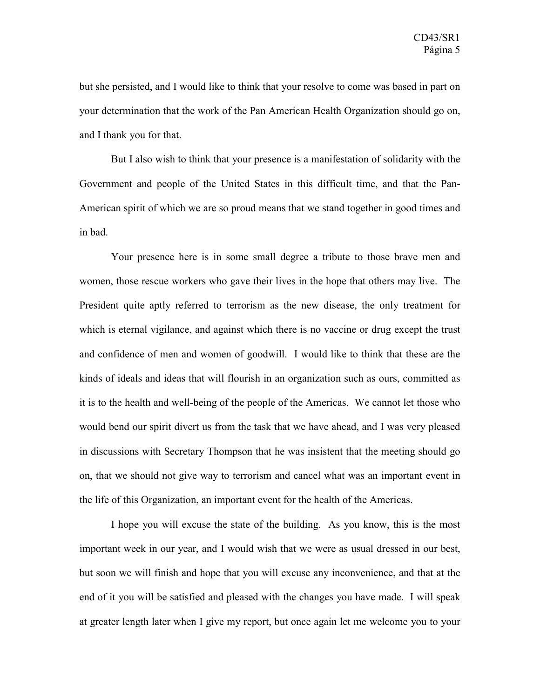but she persisted, and I would like to think that your resolve to come was based in part on your determination that the work of the Pan American Health Organization should go on, and I thank you for that.

But I also wish to think that your presence is a manifestation of solidarity with the Government and people of the United States in this difficult time, and that the Pan-American spirit of which we are so proud means that we stand together in good times and in bad.

Your presence here is in some small degree a tribute to those brave men and women, those rescue workers who gave their lives in the hope that others may live. The President quite aptly referred to terrorism as the new disease, the only treatment for which is eternal vigilance, and against which there is no vaccine or drug except the trust and confidence of men and women of goodwill. I would like to think that these are the kinds of ideals and ideas that will flourish in an organization such as ours, committed as it is to the health and well-being of the people of the Americas. We cannot let those who would bend our spirit divert us from the task that we have ahead, and I was very pleased in discussions with Secretary Thompson that he was insistent that the meeting should go on, that we should not give way to terrorism and cancel what was an important event in the life of this Organization, an important event for the health of the Americas.

I hope you will excuse the state of the building. As you know, this is the most important week in our year, and I would wish that we were as usual dressed in our best, but soon we will finish and hope that you will excuse any inconvenience, and that at the end of it you will be satisfied and pleased with the changes you have made. I will speak at greater length later when I give my report, but once again let me welcome you to your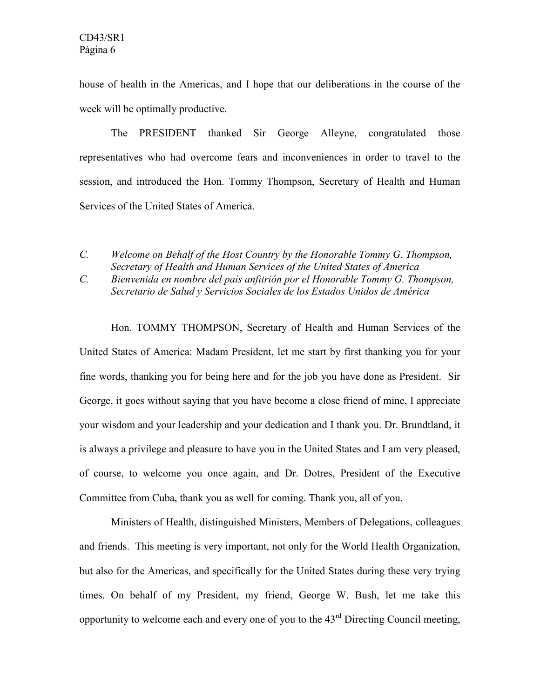house of health in the Americas, and I hope that our deliberations in the course of the week will be optimally productive.

The PRESIDENT thanked Sir George Alleyne, congratulated those representatives who had overcome fears and inconveniences in order to travel to the session, and introduced the Hon. Tommy Thompson, Secretary of Health and Human Services of the United States of America.

*C. Bienvenida en nombre del país anfitrión por el Honorable Tommy G. Thompson, Secretario de Salud y Servicios Sociales de los Estados Unidos de América*

Hon. TOMMY THOMPSON, Secretary of Health and Human Services of the United States of America: Madam President, let me start by first thanking you for your fine words, thanking you for being here and for the job you have done as President. Sir George, it goes without saying that you have become a close friend of mine, I appreciate your wisdom and your leadership and your dedication and I thank you. Dr. Brundtland, it is always a privilege and pleasure to have you in the United States and I am very pleased, of course, to welcome you once again, and Dr. Dotres, President of the Executive Committee from Cuba, thank you as well for coming. Thank you, all of you.

Ministers of Health, distinguished Ministers, Members of Delegations, colleagues and friends. This meeting is very important, not only for the World Health Organization, but also for the Americas, and specifically for the United States during these very trying times. On behalf of my President, my friend, George W. Bush, let me take this opportunity to welcome each and every one of you to the  $43<sup>rd</sup>$  Directing Council meeting,

*C. Welcome on Behalf of the Host Country by the Honorable Tommy G. Thompson, Secretary of Health and Human Services of the United States of America*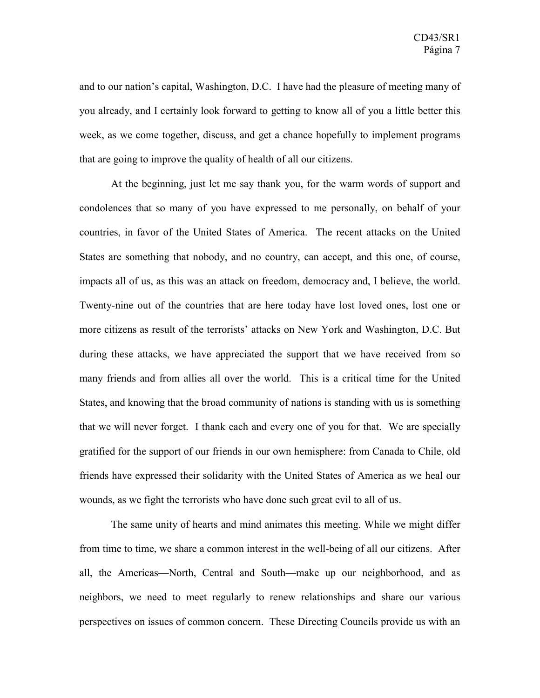and to our nation's capital, Washington, D.C. I have had the pleasure of meeting many of you already, and I certainly look forward to getting to know all of you a little better this week, as we come together, discuss, and get a chance hopefully to implement programs that are going to improve the quality of health of all our citizens.

At the beginning, just let me say thank you, for the warm words of support and condolences that so many of you have expressed to me personally, on behalf of your countries, in favor of the United States of America. The recent attacks on the United States are something that nobody, and no country, can accept, and this one, of course, impacts all of us, as this was an attack on freedom, democracy and, I believe, the world. Twenty-nine out of the countries that are here today have lost loved ones, lost one or more citizens as result of the terrorists' attacks on New York and Washington, D.C. But during these attacks, we have appreciated the support that we have received from so many friends and from allies all over the world. This is a critical time for the United States, and knowing that the broad community of nations is standing with us is something that we will never forget. I thank each and every one of you for that. We are specially gratified for the support of our friends in our own hemisphere: from Canada to Chile, old friends have expressed their solidarity with the United States of America as we heal our wounds, as we fight the terrorists who have done such great evil to all of us.

The same unity of hearts and mind animates this meeting. While we might differ from time to time, we share a common interest in the well-being of all our citizens. After all, the Americas—North, Central and South—make up our neighborhood, and as neighbors, we need to meet regularly to renew relationships and share our various perspectives on issues of common concern. These Directing Councils provide us with an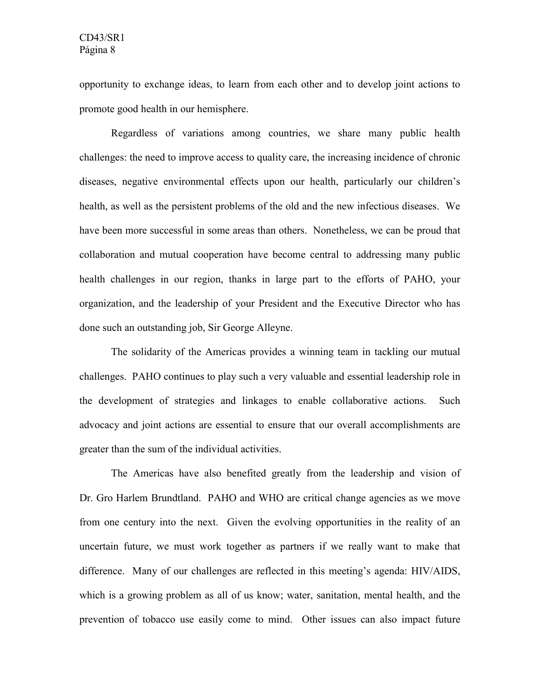opportunity to exchange ideas, to learn from each other and to develop joint actions to promote good health in our hemisphere.

Regardless of variations among countries, we share many public health challenges: the need to improve access to quality care, the increasing incidence of chronic diseases, negative environmental effects upon our health, particularly our children's health, as well as the persistent problems of the old and the new infectious diseases. We have been more successful in some areas than others. Nonetheless, we can be proud that collaboration and mutual cooperation have become central to addressing many public health challenges in our region, thanks in large part to the efforts of PAHO, your organization, and the leadership of your President and the Executive Director who has done such an outstanding job, Sir George Alleyne.

The solidarity of the Americas provides a winning team in tackling our mutual challenges. PAHO continues to play such a very valuable and essential leadership role in the development of strategies and linkages to enable collaborative actions. Such advocacy and joint actions are essential to ensure that our overall accomplishments are greater than the sum of the individual activities.

The Americas have also benefited greatly from the leadership and vision of Dr. Gro Harlem Brundtland. PAHO and WHO are critical change agencies as we move from one century into the next. Given the evolving opportunities in the reality of an uncertain future, we must work together as partners if we really want to make that difference. Many of our challenges are reflected in this meeting's agenda: HIV/AIDS, which is a growing problem as all of us know; water, sanitation, mental health, and the prevention of tobacco use easily come to mind. Other issues can also impact future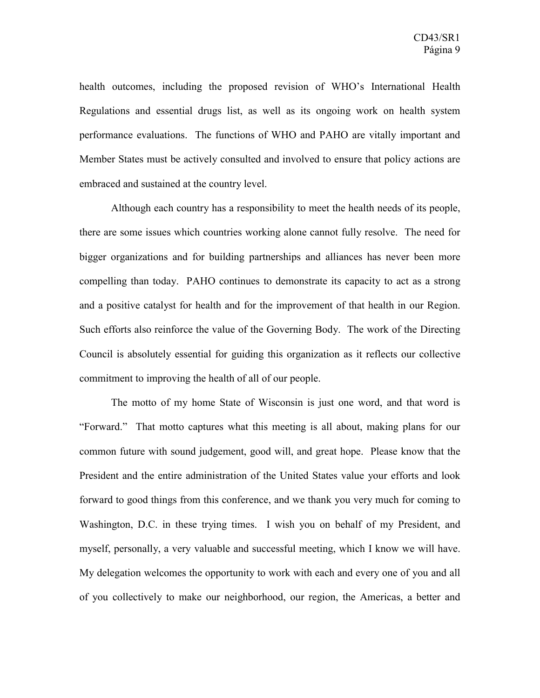health outcomes, including the proposed revision of WHO's International Health Regulations and essential drugs list, as well as its ongoing work on health system performance evaluations. The functions of WHO and PAHO are vitally important and Member States must be actively consulted and involved to ensure that policy actions are embraced and sustained at the country level.

Although each country has a responsibility to meet the health needs of its people, there are some issues which countries working alone cannot fully resolve. The need for bigger organizations and for building partnerships and alliances has never been more compelling than today. PAHO continues to demonstrate its capacity to act as a strong and a positive catalyst for health and for the improvement of that health in our Region. Such efforts also reinforce the value of the Governing Body. The work of the Directing Council is absolutely essential for guiding this organization as it reflects our collective commitment to improving the health of all of our people.

The motto of my home State of Wisconsin is just one word, and that word is "Forward." That motto captures what this meeting is all about, making plans for our common future with sound judgement, good will, and great hope. Please know that the President and the entire administration of the United States value your efforts and look forward to good things from this conference, and we thank you very much for coming to Washington, D.C. in these trying times. I wish you on behalf of my President, and myself, personally, a very valuable and successful meeting, which I know we will have. My delegation welcomes the opportunity to work with each and every one of you and all of you collectively to make our neighborhood, our region, the Americas, a better and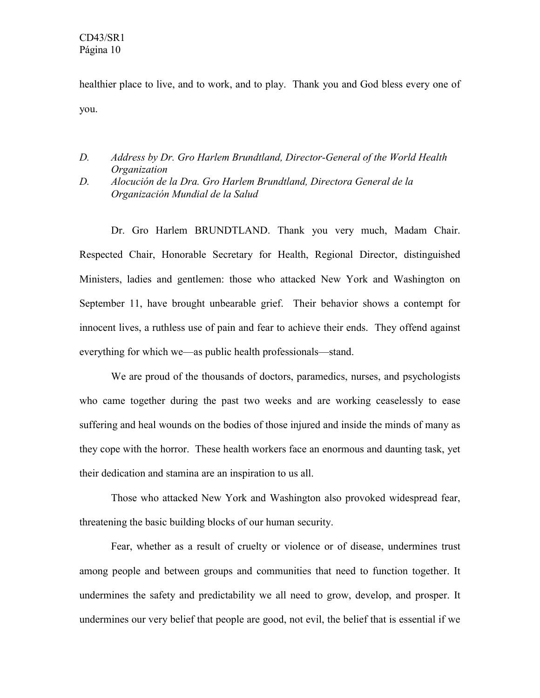healthier place to live, and to work, and to play. Thank you and God bless every one of you.

- *D. Address by Dr. Gro Harlem Brundtland, Director-General of the World Health Organization*
- *D. Alocución de la Dra. Gro Harlem Brundtland, Directora General de la Organización Mundial de la Salud*

Dr. Gro Harlem BRUNDTLAND. Thank you very much, Madam Chair. Respected Chair, Honorable Secretary for Health, Regional Director, distinguished Ministers, ladies and gentlemen: those who attacked New York and Washington on September 11, have brought unbearable grief. Their behavior shows a contempt for innocent lives, a ruthless use of pain and fear to achieve their ends. They offend against everything for which we—as public health professionals—stand.

We are proud of the thousands of doctors, paramedics, nurses, and psychologists who came together during the past two weeks and are working ceaselessly to ease suffering and heal wounds on the bodies of those injured and inside the minds of many as they cope with the horror. These health workers face an enormous and daunting task, yet their dedication and stamina are an inspiration to us all.

Those who attacked New York and Washington also provoked widespread fear, threatening the basic building blocks of our human security.

Fear, whether as a result of cruelty or violence or of disease, undermines trust among people and between groups and communities that need to function together. It undermines the safety and predictability we all need to grow, develop, and prosper. It undermines our very belief that people are good, not evil, the belief that is essential if we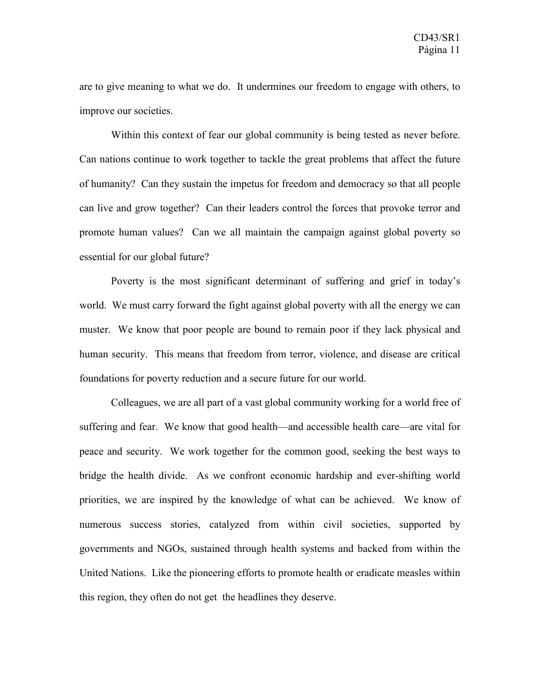are to give meaning to what we do. It undermines our freedom to engage with others, to improve our societies.

Within this context of fear our global community is being tested as never before. Can nations continue to work together to tackle the great problems that affect the future of humanity? Can they sustain the impetus for freedom and democracy so that all people can live and grow together? Can their leaders control the forces that provoke terror and promote human values? Can we all maintain the campaign against global poverty so essential for our global future?

Poverty is the most significant determinant of suffering and grief in today's world. We must carry forward the fight against global poverty with all the energy we can muster. We know that poor people are bound to remain poor if they lack physical and human security. This means that freedom from terror, violence, and disease are critical foundations for poverty reduction and a secure future for our world.

Colleagues, we are all part of a vast global community working for a world free of suffering and fear. We know that good health—and accessible health care—are vital for peace and security. We work together for the common good, seeking the best ways to bridge the health divide. As we confront economic hardship and ever-shifting world priorities, we are inspired by the knowledge of what can be achieved. We know of numerous success stories, catalyzed from within civil societies, supported by governments and NGOs, sustained through health systems and backed from within the United Nations. Like the pioneering efforts to promote health or eradicate measles within this region, they often do not get the headlines they deserve.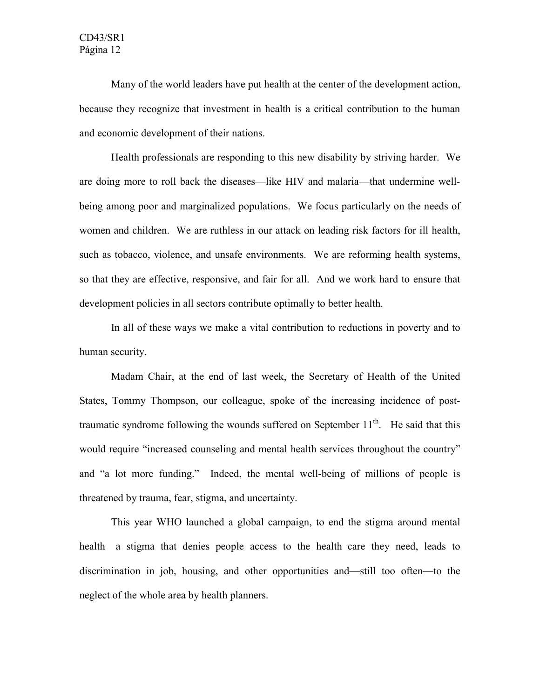Many of the world leaders have put health at the center of the development action, because they recognize that investment in health is a critical contribution to the human and economic development of their nations.

Health professionals are responding to this new disability by striving harder. We are doing more to roll back the diseases—like HIV and malaria—that undermine wellbeing among poor and marginalized populations. We focus particularly on the needs of women and children. We are ruthless in our attack on leading risk factors for ill health, such as tobacco, violence, and unsafe environments. We are reforming health systems, so that they are effective, responsive, and fair for all. And we work hard to ensure that development policies in all sectors contribute optimally to better health.

In all of these ways we make a vital contribution to reductions in poverty and to human security.

Madam Chair, at the end of last week, the Secretary of Health of the United States, Tommy Thompson, our colleague, spoke of the increasing incidence of posttraumatic syndrome following the wounds suffered on September  $11<sup>th</sup>$ . He said that this would require "increased counseling and mental health services throughout the country" and "a lot more funding." Indeed, the mental well-being of millions of people is threatened by trauma, fear, stigma, and uncertainty.

This year WHO launched a global campaign, to end the stigma around mental health—a stigma that denies people access to the health care they need, leads to discrimination in job, housing, and other opportunities and—still too often—to the neglect of the whole area by health planners.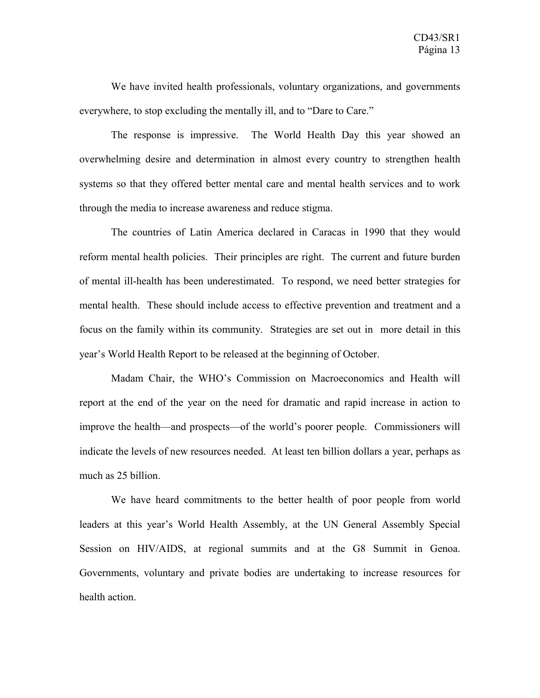We have invited health professionals, voluntary organizations, and governments everywhere, to stop excluding the mentally ill, and to "Dare to Care."

The response is impressive. The World Health Day this year showed an overwhelming desire and determination in almost every country to strengthen health systems so that they offered better mental care and mental health services and to work through the media to increase awareness and reduce stigma.

The countries of Latin America declared in Caracas in 1990 that they would reform mental health policies. Their principles are right. The current and future burden of mental ill-health has been underestimated. To respond, we need better strategies for mental health. These should include access to effective prevention and treatment and a focus on the family within its community. Strategies are set out in more detail in this year's World Health Report to be released at the beginning of October.

Madam Chair, the WHO's Commission on Macroeconomics and Health will report at the end of the year on the need for dramatic and rapid increase in action to improve the health—and prospects—of the world's poorer people. Commissioners will indicate the levels of new resources needed. At least ten billion dollars a year, perhaps as much as 25 billion.

We have heard commitments to the better health of poor people from world leaders at this year's World Health Assembly, at the UN General Assembly Special Session on HIV/AIDS, at regional summits and at the G8 Summit in Genoa. Governments, voluntary and private bodies are undertaking to increase resources for health action.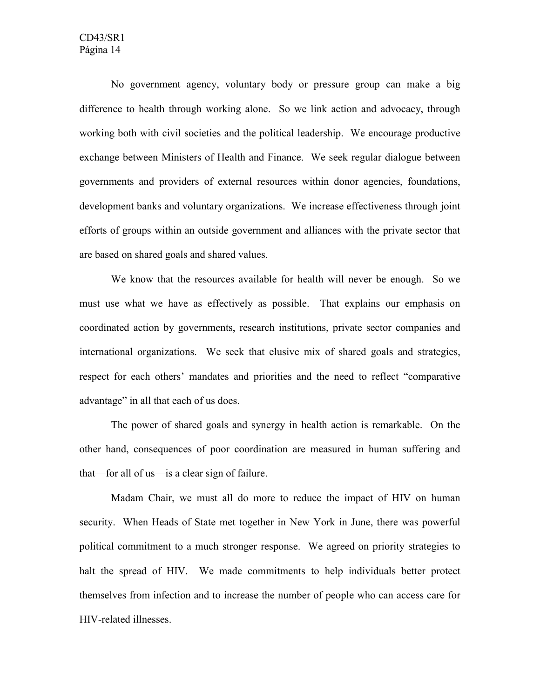#### CD43/SR1 Página 14

No government agency, voluntary body or pressure group can make a big difference to health through working alone. So we link action and advocacy, through working both with civil societies and the political leadership. We encourage productive exchange between Ministers of Health and Finance. We seek regular dialogue between governments and providers of external resources within donor agencies, foundations, development banks and voluntary organizations. We increase effectiveness through joint efforts of groups within an outside government and alliances with the private sector that are based on shared goals and shared values.

We know that the resources available for health will never be enough. So we must use what we have as effectively as possible. That explains our emphasis on coordinated action by governments, research institutions, private sector companies and international organizations. We seek that elusive mix of shared goals and strategies, respect for each others' mandates and priorities and the need to reflect "comparative advantage" in all that each of us does.

The power of shared goals and synergy in health action is remarkable. On the other hand, consequences of poor coordination are measured in human suffering and that—for all of us—is a clear sign of failure.

Madam Chair, we must all do more to reduce the impact of HIV on human security. When Heads of State met together in New York in June, there was powerful political commitment to a much stronger response. We agreed on priority strategies to halt the spread of HIV. We made commitments to help individuals better protect themselves from infection and to increase the number of people who can access care for HIV-related illnesses.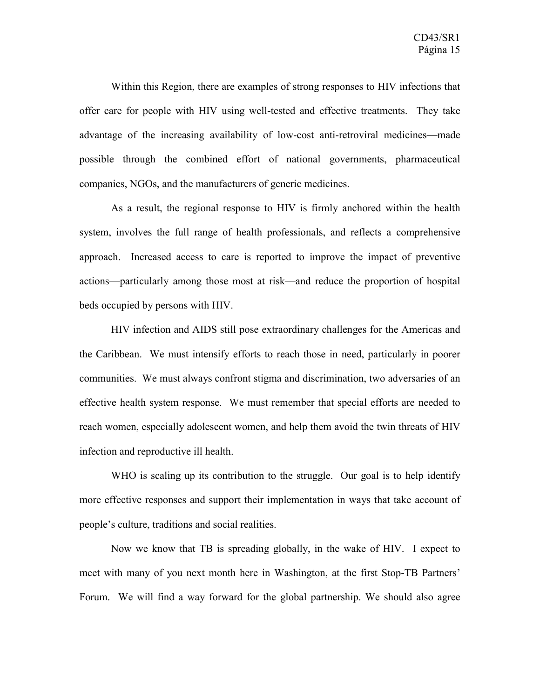Within this Region, there are examples of strong responses to HIV infections that offer care for people with HIV using well-tested and effective treatments. They take advantage of the increasing availability of low-cost anti-retroviral medicines—made possible through the combined effort of national governments, pharmaceutical companies, NGOs, and the manufacturers of generic medicines.

As a result, the regional response to HIV is firmly anchored within the health system, involves the full range of health professionals, and reflects a comprehensive approach. Increased access to care is reported to improve the impact of preventive actions—particularly among those most at risk—and reduce the proportion of hospital beds occupied by persons with HIV.

HIV infection and AIDS still pose extraordinary challenges for the Americas and the Caribbean. We must intensify efforts to reach those in need, particularly in poorer communities. We must always confront stigma and discrimination, two adversaries of an effective health system response. We must remember that special efforts are needed to reach women, especially adolescent women, and help them avoid the twin threats of HIV infection and reproductive ill health.

WHO is scaling up its contribution to the struggle. Our goal is to help identify more effective responses and support their implementation in ways that take account of people's culture, traditions and social realities.

Now we know that TB is spreading globally, in the wake of HIV. I expect to meet with many of you next month here in Washington, at the first Stop-TB Partners' Forum. We will find a way forward for the global partnership. We should also agree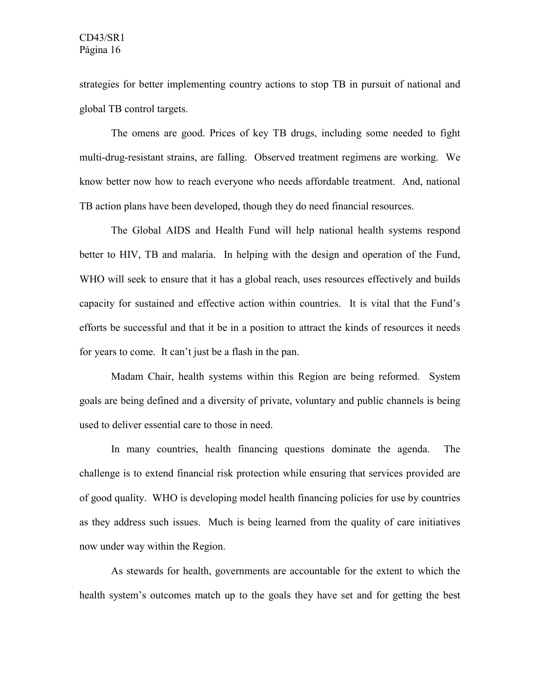strategies for better implementing country actions to stop TB in pursuit of national and global TB control targets.

The omens are good. Prices of key TB drugs, including some needed to fight multi-drug-resistant strains, are falling. Observed treatment regimens are working. We know better now how to reach everyone who needs affordable treatment. And, national TB action plans have been developed, though they do need financial resources.

The Global AIDS and Health Fund will help national health systems respond better to HIV, TB and malaria. In helping with the design and operation of the Fund, WHO will seek to ensure that it has a global reach, uses resources effectively and builds capacity for sustained and effective action within countries. It is vital that the Fund's efforts be successful and that it be in a position to attract the kinds of resources it needs for years to come. It can't just be a flash in the pan.

Madam Chair, health systems within this Region are being reformed. System goals are being defined and a diversity of private, voluntary and public channels is being used to deliver essential care to those in need.

In many countries, health financing questions dominate the agenda. The challenge is to extend financial risk protection while ensuring that services provided are of good quality. WHO is developing model health financing policies for use by countries as they address such issues. Much is being learned from the quality of care initiatives now under way within the Region.

As stewards for health, governments are accountable for the extent to which the health system's outcomes match up to the goals they have set and for getting the best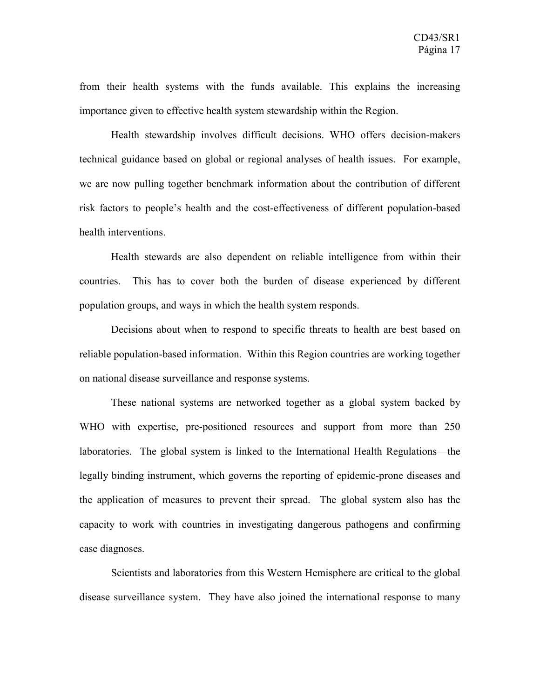from their health systems with the funds available. This explains the increasing importance given to effective health system stewardship within the Region.

Health stewardship involves difficult decisions. WHO offers decision-makers technical guidance based on global or regional analyses of health issues. For example, we are now pulling together benchmark information about the contribution of different risk factors to people's health and the cost-effectiveness of different population-based health interventions.

Health stewards are also dependent on reliable intelligence from within their countries. This has to cover both the burden of disease experienced by different population groups, and ways in which the health system responds.

Decisions about when to respond to specific threats to health are best based on reliable population-based information. Within this Region countries are working together on national disease surveillance and response systems.

These national systems are networked together as a global system backed by WHO with expertise, pre-positioned resources and support from more than 250 laboratories. The global system is linked to the International Health Regulations—the legally binding instrument, which governs the reporting of epidemic-prone diseases and the application of measures to prevent their spread. The global system also has the capacity to work with countries in investigating dangerous pathogens and confirming case diagnoses.

Scientists and laboratories from this Western Hemisphere are critical to the global disease surveillance system. They have also joined the international response to many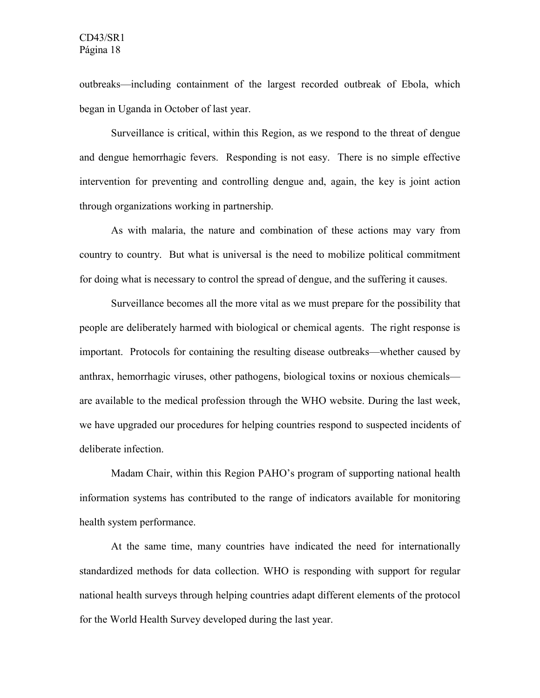outbreaks—including containment of the largest recorded outbreak of Ebola, which began in Uganda in October of last year.

Surveillance is critical, within this Region, as we respond to the threat of dengue and dengue hemorrhagic fevers. Responding is not easy. There is no simple effective intervention for preventing and controlling dengue and, again, the key is joint action through organizations working in partnership.

As with malaria, the nature and combination of these actions may vary from country to country. But what is universal is the need to mobilize political commitment for doing what is necessary to control the spread of dengue, and the suffering it causes.

Surveillance becomes all the more vital as we must prepare for the possibility that people are deliberately harmed with biological or chemical agents. The right response is important. Protocols for containing the resulting disease outbreaks—whether caused by anthrax, hemorrhagic viruses, other pathogens, biological toxins or noxious chemicals are available to the medical profession through the WHO website. During the last week, we have upgraded our procedures for helping countries respond to suspected incidents of deliberate infection.

Madam Chair, within this Region PAHO's program of supporting national health information systems has contributed to the range of indicators available for monitoring health system performance.

At the same time, many countries have indicated the need for internationally standardized methods for data collection. WHO is responding with support for regular national health surveys through helping countries adapt different elements of the protocol for the World Health Survey developed during the last year.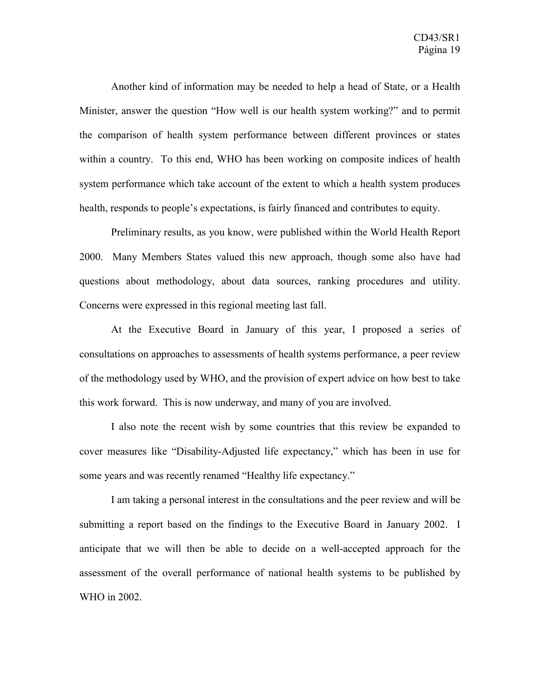Another kind of information may be needed to help a head of State, or a Health Minister, answer the question "How well is our health system working?" and to permit the comparison of health system performance between different provinces or states within a country. To this end, WHO has been working on composite indices of health system performance which take account of the extent to which a health system produces health, responds to people's expectations, is fairly financed and contributes to equity.

Preliminary results, as you know, were published within the World Health Report 2000. Many Members States valued this new approach, though some also have had questions about methodology, about data sources, ranking procedures and utility. Concerns were expressed in this regional meeting last fall.

At the Executive Board in January of this year, I proposed a series of consultations on approaches to assessments of health systems performance, a peer review of the methodology used by WHO, and the provision of expert advice on how best to take this work forward. This is now underway, and many of you are involved.

I also note the recent wish by some countries that this review be expanded to cover measures like "Disability-Adjusted life expectancy," which has been in use for some years and was recently renamed "Healthy life expectancy."

I am taking a personal interest in the consultations and the peer review and will be submitting a report based on the findings to the Executive Board in January 2002. I anticipate that we will then be able to decide on a well-accepted approach for the assessment of the overall performance of national health systems to be published by WHO in 2002.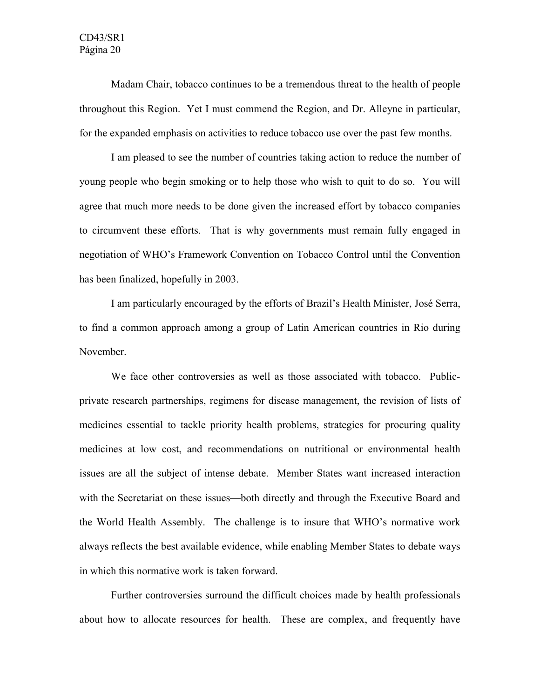Madam Chair, tobacco continues to be a tremendous threat to the health of people throughout this Region. Yet I must commend the Region, and Dr. Alleyne in particular, for the expanded emphasis on activities to reduce tobacco use over the past few months.

I am pleased to see the number of countries taking action to reduce the number of young people who begin smoking or to help those who wish to quit to do so. You will agree that much more needs to be done given the increased effort by tobacco companies to circumvent these efforts. That is why governments must remain fully engaged in negotiation of WHO's Framework Convention on Tobacco Control until the Convention has been finalized, hopefully in 2003.

I am particularly encouraged by the efforts of Brazil's Health Minister, José Serra, to find a common approach among a group of Latin American countries in Rio during November.

We face other controversies as well as those associated with tobacco. Publicprivate research partnerships, regimens for disease management, the revision of lists of medicines essential to tackle priority health problems, strategies for procuring quality medicines at low cost, and recommendations on nutritional or environmental health issues are all the subject of intense debate. Member States want increased interaction with the Secretariat on these issues—both directly and through the Executive Board and the World Health Assembly. The challenge is to insure that WHO's normative work always reflects the best available evidence, while enabling Member States to debate ways in which this normative work is taken forward.

Further controversies surround the difficult choices made by health professionals about how to allocate resources for health. These are complex, and frequently have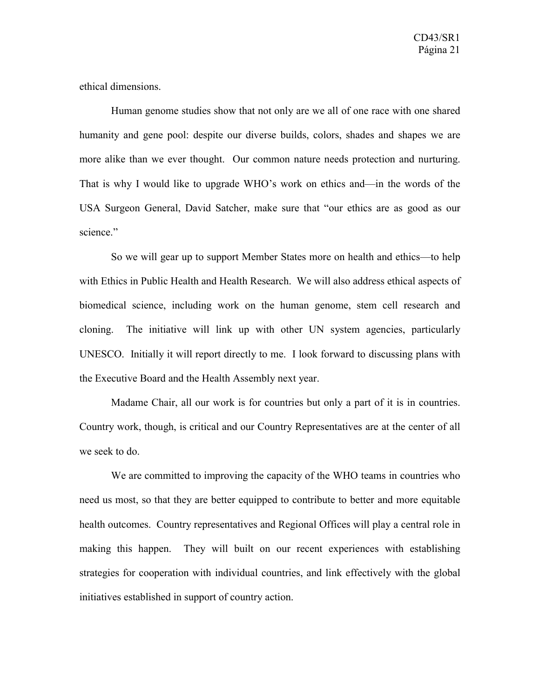ethical dimensions.

Human genome studies show that not only are we all of one race with one shared humanity and gene pool: despite our diverse builds, colors, shades and shapes we are more alike than we ever thought. Our common nature needs protection and nurturing. That is why I would like to upgrade WHO's work on ethics and—in the words of the USA Surgeon General, David Satcher, make sure that "our ethics are as good as our science."

So we will gear up to support Member States more on health and ethics—to help with Ethics in Public Health and Health Research. We will also address ethical aspects of biomedical science, including work on the human genome, stem cell research and cloning. The initiative will link up with other UN system agencies, particularly UNESCO. Initially it will report directly to me. I look forward to discussing plans with the Executive Board and the Health Assembly next year.

Madame Chair, all our work is for countries but only a part of it is in countries. Country work, though, is critical and our Country Representatives are at the center of all we seek to do.

We are committed to improving the capacity of the WHO teams in countries who need us most, so that they are better equipped to contribute to better and more equitable health outcomes. Country representatives and Regional Offices will play a central role in making this happen. They will built on our recent experiences with establishing strategies for cooperation with individual countries, and link effectively with the global initiatives established in support of country action.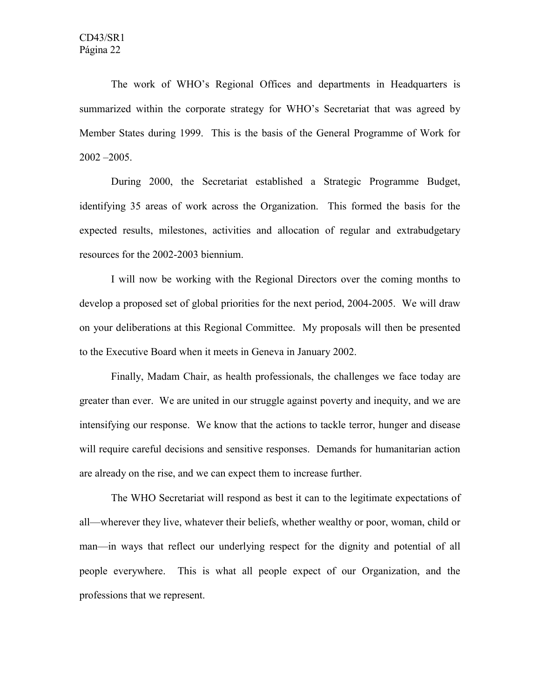The work of WHO's Regional Offices and departments in Headquarters is summarized within the corporate strategy for WHO's Secretariat that was agreed by Member States during 1999. This is the basis of the General Programme of Work for 2002 –2005.

During 2000, the Secretariat established a Strategic Programme Budget, identifying 35 areas of work across the Organization. This formed the basis for the expected results, milestones, activities and allocation of regular and extrabudgetary resources for the 2002-2003 biennium.

I will now be working with the Regional Directors over the coming months to develop a proposed set of global priorities for the next period, 2004-2005. We will draw on your deliberations at this Regional Committee. My proposals will then be presented to the Executive Board when it meets in Geneva in January 2002.

Finally, Madam Chair, as health professionals, the challenges we face today are greater than ever. We are united in our struggle against poverty and inequity, and we are intensifying our response. We know that the actions to tackle terror, hunger and disease will require careful decisions and sensitive responses. Demands for humanitarian action are already on the rise, and we can expect them to increase further.

The WHO Secretariat will respond as best it can to the legitimate expectations of all—wherever they live, whatever their beliefs, whether wealthy or poor, woman, child or man—in ways that reflect our underlying respect for the dignity and potential of all people everywhere. This is what all people expect of our Organization, and the professions that we represent.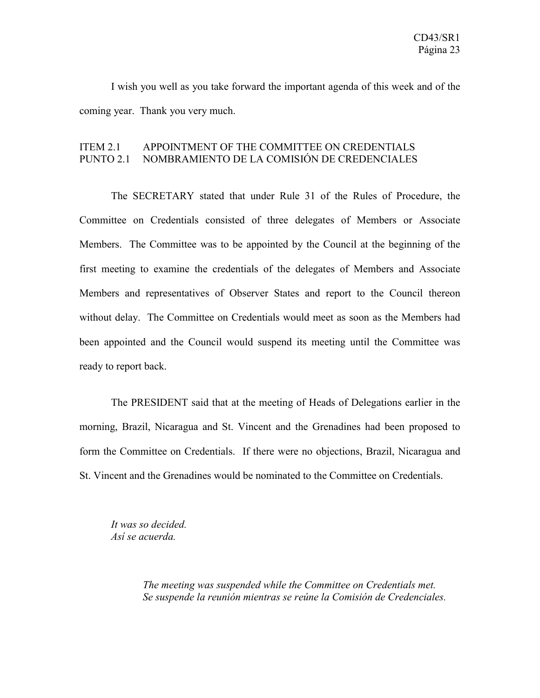I wish you well as you take forward the important agenda of this week and of the coming year. Thank you very much.

### ITEM 2.1 APPOINTMENT OF THE COMMITTEE ON CREDENTIALS PUNTO 2.1 NOMBRAMIENTO DE LA COMISIÓN DE CREDENCIALES

The SECRETARY stated that under Rule 31 of the Rules of Procedure, the Committee on Credentials consisted of three delegates of Members or Associate Members. The Committee was to be appointed by the Council at the beginning of the first meeting to examine the credentials of the delegates of Members and Associate Members and representatives of Observer States and report to the Council thereon without delay. The Committee on Credentials would meet as soon as the Members had been appointed and the Council would suspend its meeting until the Committee was ready to report back.

The PRESIDENT said that at the meeting of Heads of Delegations earlier in the morning, Brazil, Nicaragua and St. Vincent and the Grenadines had been proposed to form the Committee on Credentials. If there were no objections, Brazil, Nicaragua and St. Vincent and the Grenadines would be nominated to the Committee on Credentials.

*It was so decided. Así se acuerda.*

> *The meeting was suspended while the Committee on Credentials met. Se suspende la reunión mientras se reúne la Comisión de Credenciales.*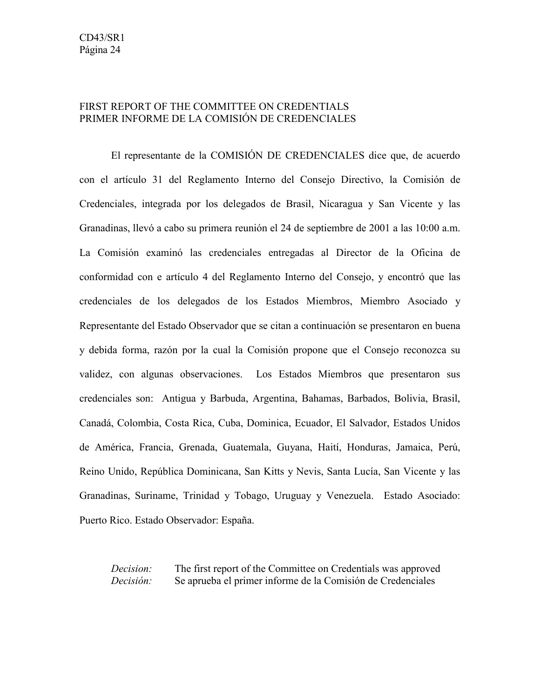## FIRST REPORT OF THE COMMITTEE ON CREDENTIALS PRIMER INFORME DE LA COMISIÓN DE CREDENCIALES

El representante de la COMISIÓN DE CREDENCIALES dice que, de acuerdo con el artículo 31 del Reglamento Interno del Consejo Directivo, la Comisión de Credenciales, integrada por los delegados de Brasil, Nicaragua y San Vicente y las Granadinas, llevó a cabo su primera reunión el 24 de septiembre de 2001 a las 10:00 a.m. La Comisión examinó las credenciales entregadas al Director de la Oficina de conformidad con e artículo 4 del Reglamento Interno del Consejo, y encontró que las credenciales de los delegados de los Estados Miembros, Miembro Asociado y Representante del Estado Observador que se citan a continuación se presentaron en buena y debida forma, razón por la cual la Comisión propone que el Consejo reconozca su validez, con algunas observaciones. Los Estados Miembros que presentaron sus credenciales son: Antigua y Barbuda, Argentina, Bahamas, Barbados, Bolivia, Brasil, Canadá, Colombia, Costa Rica, Cuba, Dominica, Ecuador, El Salvador, Estados Unidos de América, Francia, Grenada, Guatemala, Guyana, Haití, Honduras, Jamaica, Perú, Reino Unido, República Dominicana, San Kitts y Nevis, Santa Lucía, San Vicente y las Granadinas, Suriname, Trinidad y Tobago, Uruguay y Venezuela. Estado Asociado: Puerto Rico. Estado Observador: España.

*Decision:* The first report of the Committee on Credentials was approved *Decisión:* Se aprueba el primer informe de la Comisión de Credenciales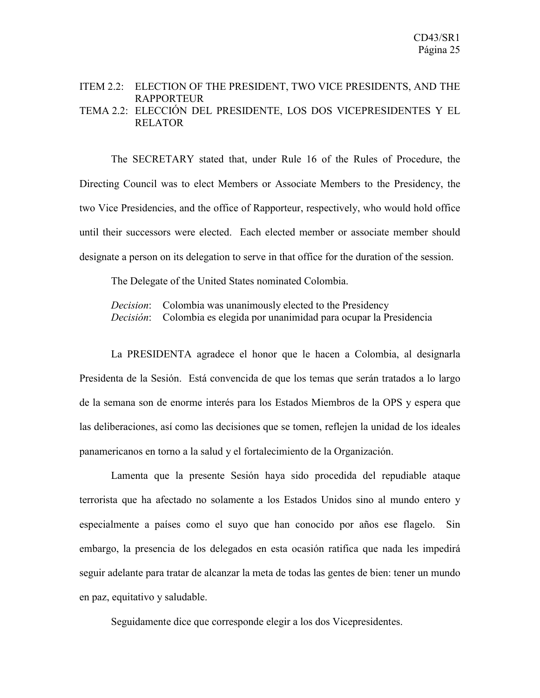#### ITEM 2.2: ELECTION OF THE PRESIDENT, TWO VICE PRESIDENTS, AND THE **RAPPORTEUR** TEMA 2.2: ELECCIÓN DEL PRESIDENTE, LOS DOS VICEPRESIDENTES Y EL RELATOR

The SECRETARY stated that, under Rule 16 of the Rules of Procedure, the Directing Council was to elect Members or Associate Members to the Presidency, the two Vice Presidencies, and the office of Rapporteur, respectively, who would hold office until their successors were elected. Each elected member or associate member should designate a person on its delegation to serve in that office for the duration of the session.

The Delegate of the United States nominated Colombia.

*Decision*: Colombia was unanimously elected to the Presidency *Decisión*: Colombia es elegida por unanimidad para ocupar la Presidencia

La PRESIDENTA agradece el honor que le hacen a Colombia, al designarla Presidenta de la Sesión. Está convencida de que los temas que serán tratados a lo largo de la semana son de enorme interés para los Estados Miembros de la OPS y espera que las deliberaciones, así como las decisiones que se tomen, reflejen la unidad de los ideales panamericanos en torno a la salud y el fortalecimiento de la Organización.

Lamenta que la presente Sesión haya sido procedida del repudiable ataque terrorista que ha afectado no solamente a los Estados Unidos sino al mundo entero y especialmente a países como el suyo que han conocido por años ese flagelo. Sin embargo, la presencia de los delegados en esta ocasión ratifica que nada les impedirá seguir adelante para tratar de alcanzar la meta de todas las gentes de bien: tener un mundo en paz, equitativo y saludable.

Seguidamente dice que corresponde elegir a los dos Vicepresidentes.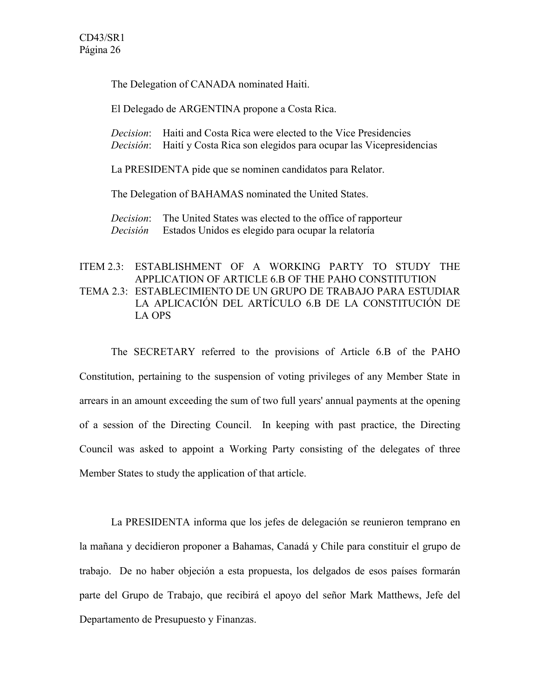The Delegation of CANADA nominated Haiti.

El Delegado de ARGENTINA propone a Costa Rica.

*Decision*: Haiti and Costa Rica were elected to the Vice Presidencies *Decisión*: Haití y Costa Rica son elegidos para ocupar las Vicepresidencias

La PRESIDENTA pide que se nominen candidatos para Relator.

The Delegation of BAHAMAS nominated the United States.

*Decision*: The United States was elected to the office of rapporteur *Decisión* Estados Unidos es elegido para ocupar la relatoría

## ITEM 2.3: ESTABLISHMENT OF A WORKING PARTY TO STUDY THE APPLICATION OF ARTICLE 6.B OF THE PAHO CONSTITUTION TEMA 2.3: ESTABLECIMIENTO DE UN GRUPO DE TRABAJO PARA ESTUDIAR LA APLICACIÓN DEL ARTÍCULO 6.B DE LA CONSTITUCIÓN DE LA OPS

The SECRETARY referred to the provisions of Article 6.B of the PAHO Constitution, pertaining to the suspension of voting privileges of any Member State in arrears in an amount exceeding the sum of two full years' annual payments at the opening of a session of the Directing Council. In keeping with past practice, the Directing Council was asked to appoint a Working Party consisting of the delegates of three Member States to study the application of that article.

La PRESIDENTA informa que los jefes de delegación se reunieron temprano en la mañana y decidieron proponer a Bahamas, Canadá y Chile para constituir el grupo de trabajo. De no haber objeción a esta propuesta, los delgados de esos países formarán parte del Grupo de Trabajo, que recibirá el apoyo del señor Mark Matthews, Jefe del Departamento de Presupuesto y Finanzas.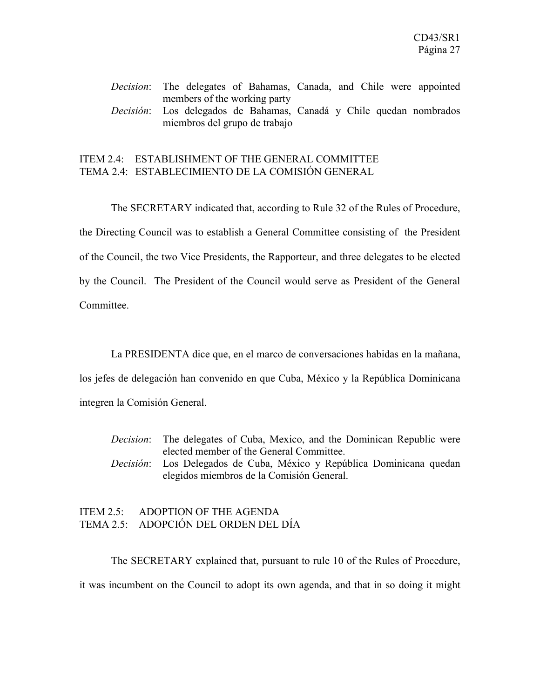## *Decision*: The delegates of Bahamas, Canada, and Chile were appointed members of the working party *Decisión*: Los delegados de Bahamas, Canadá y Chile quedan nombrados miembros del grupo de trabajo

## ITEM 2.4: ESTABLISHMENT OF THE GENERAL COMMITTEE TEMA 2.4: ESTABLECIMIENTO DE LA COMISIÓN GENERAL

The SECRETARY indicated that, according to Rule 32 of the Rules of Procedure, the Directing Council was to establish a General Committee consisting of the President of the Council, the two Vice Presidents, the Rapporteur, and three delegates to be elected by the Council. The President of the Council would serve as President of the General Committee.

La PRESIDENTA dice que, en el marco de conversaciones habidas en la mañana, los jefes de delegación han convenido en que Cuba, México y la República Dominicana integren la Comisión General.

*Decision*: The delegates of Cuba, Mexico, and the Dominican Republic were elected member of the General Committee. *Decisión*: Los Delegados de Cuba, México y República Dominicana quedan elegidos miembros de la Comisión General.

## ITEM 2.5: ADOPTION OF THE AGENDA TEMA 2.5: ADOPCIÓN DEL ORDEN DEL DÍA

The SECRETARY explained that, pursuant to rule 10 of the Rules of Procedure, it was incumbent on the Council to adopt its own agenda, and that in so doing it might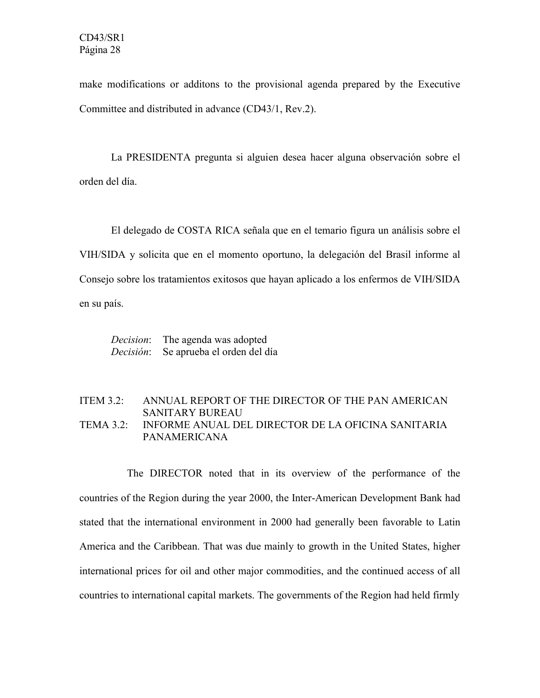make modifications or additons to the provisional agenda prepared by the Executive Committee and distributed in advance (CD43/1, Rev.2).

La PRESIDENTA pregunta si alguien desea hacer alguna observación sobre el orden del día.

El delegado de COSTA RICA señala que en el temario figura un análisis sobre el VIH/SIDA y solicita que en el momento oportuno, la delegación del Brasil informe al Consejo sobre los tratamientos exitosos que hayan aplicado a los enfermos de VIH/SIDA en su país.

*Decision*: The agenda was adopted *Decisión*: Se aprueba el orden del día

### ITEM 3.2: ANNUAL REPORT OF THE DIRECTOR OF THE PAN AMERICAN SANITARY BUREAU TEMA 3.2: INFORME ANUAL DEL DIRECTOR DE LA OFICINA SANITARIA PANAMERICANA

The DIRECTOR noted that in its overview of the performance of the countries of the Region during the year 2000, the Inter-American Development Bank had stated that the international environment in 2000 had generally been favorable to Latin America and the Caribbean. That was due mainly to growth in the United States, higher international prices for oil and other major commodities, and the continued access of all countries to international capital markets. The governments of the Region had held firmly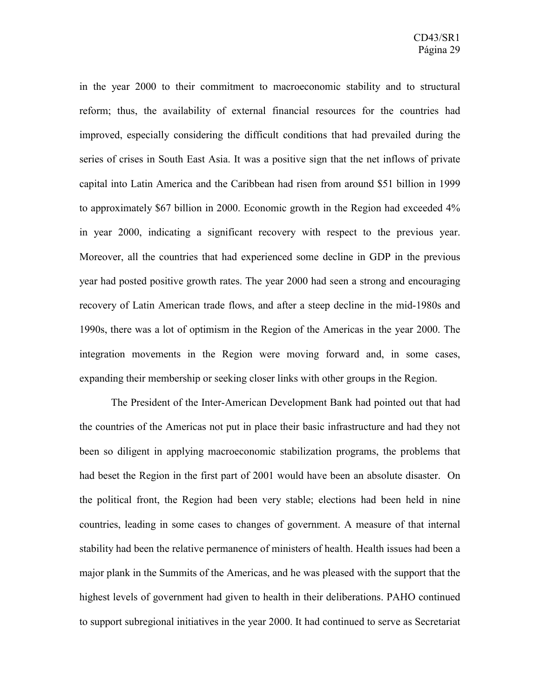in the year 2000 to their commitment to macroeconomic stability and to structural reform; thus, the availability of external financial resources for the countries had improved, especially considering the difficult conditions that had prevailed during the series of crises in South East Asia. It was a positive sign that the net inflows of private capital into Latin America and the Caribbean had risen from around \$51 billion in 1999 to approximately \$67 billion in 2000. Economic growth in the Region had exceeded 4% in year 2000, indicating a significant recovery with respect to the previous year. Moreover, all the countries that had experienced some decline in GDP in the previous year had posted positive growth rates. The year 2000 had seen a strong and encouraging recovery of Latin American trade flows, and after a steep decline in the mid-1980s and 1990s, there was a lot of optimism in the Region of the Americas in the year 2000. The integration movements in the Region were moving forward and, in some cases, expanding their membership or seeking closer links with other groups in the Region.

The President of the Inter-American Development Bank had pointed out that had the countries of the Americas not put in place their basic infrastructure and had they not been so diligent in applying macroeconomic stabilization programs, the problems that had beset the Region in the first part of 2001 would have been an absolute disaster. On the political front, the Region had been very stable; elections had been held in nine countries, leading in some cases to changes of government. A measure of that internal stability had been the relative permanence of ministers of health. Health issues had been a major plank in the Summits of the Americas, and he was pleased with the support that the highest levels of government had given to health in their deliberations. PAHO continued to support subregional initiatives in the year 2000. It had continued to serve as Secretariat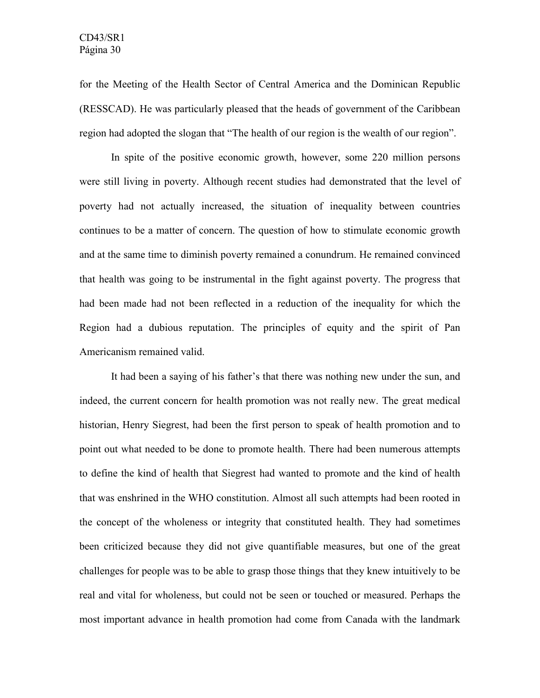for the Meeting of the Health Sector of Central America and the Dominican Republic (RESSCAD). He was particularly pleased that the heads of government of the Caribbean region had adopted the slogan that "The health of our region is the wealth of our region".

In spite of the positive economic growth, however, some 220 million persons were still living in poverty. Although recent studies had demonstrated that the level of poverty had not actually increased, the situation of inequality between countries continues to be a matter of concern. The question of how to stimulate economic growth and at the same time to diminish poverty remained a conundrum. He remained convinced that health was going to be instrumental in the fight against poverty. The progress that had been made had not been reflected in a reduction of the inequality for which the Region had a dubious reputation. The principles of equity and the spirit of Pan Americanism remained valid.

It had been a saying of his father's that there was nothing new under the sun, and indeed, the current concern for health promotion was not really new. The great medical historian, Henry Siegrest, had been the first person to speak of health promotion and to point out what needed to be done to promote health. There had been numerous attempts to define the kind of health that Siegrest had wanted to promote and the kind of health that was enshrined in the WHO constitution. Almost all such attempts had been rooted in the concept of the wholeness or integrity that constituted health. They had sometimes been criticized because they did not give quantifiable measures, but one of the great challenges for people was to be able to grasp those things that they knew intuitively to be real and vital for wholeness, but could not be seen or touched or measured. Perhaps the most important advance in health promotion had come from Canada with the landmark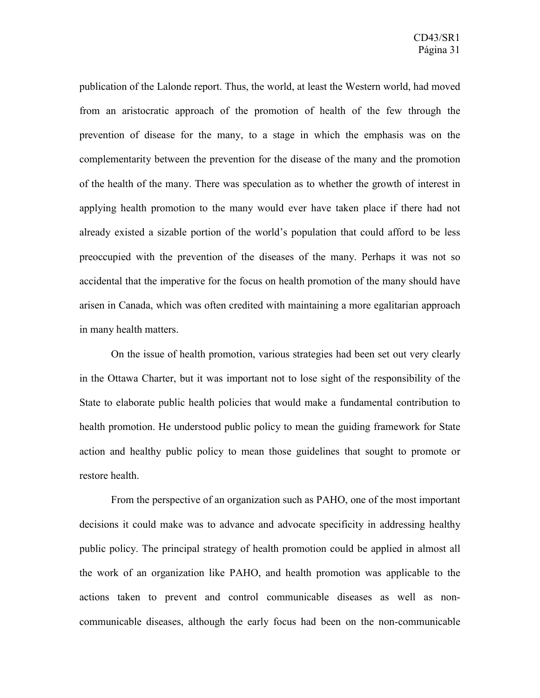publication of the Lalonde report. Thus, the world, at least the Western world, had moved from an aristocratic approach of the promotion of health of the few through the prevention of disease for the many, to a stage in which the emphasis was on the complementarity between the prevention for the disease of the many and the promotion of the health of the many. There was speculation as to whether the growth of interest in applying health promotion to the many would ever have taken place if there had not already existed a sizable portion of the world's population that could afford to be less preoccupied with the prevention of the diseases of the many. Perhaps it was not so accidental that the imperative for the focus on health promotion of the many should have arisen in Canada, which was often credited with maintaining a more egalitarian approach in many health matters.

On the issue of health promotion, various strategies had been set out very clearly in the Ottawa Charter, but it was important not to lose sight of the responsibility of the State to elaborate public health policies that would make a fundamental contribution to health promotion. He understood public policy to mean the guiding framework for State action and healthy public policy to mean those guidelines that sought to promote or restore health.

From the perspective of an organization such as PAHO, one of the most important decisions it could make was to advance and advocate specificity in addressing healthy public policy. The principal strategy of health promotion could be applied in almost all the work of an organization like PAHO, and health promotion was applicable to the actions taken to prevent and control communicable diseases as well as noncommunicable diseases, although the early focus had been on the non-communicable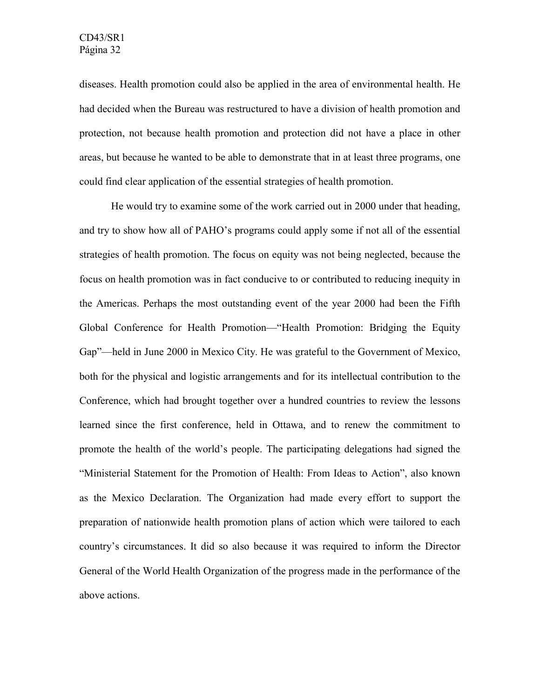diseases. Health promotion could also be applied in the area of environmental health. He had decided when the Bureau was restructured to have a division of health promotion and protection, not because health promotion and protection did not have a place in other areas, but because he wanted to be able to demonstrate that in at least three programs, one could find clear application of the essential strategies of health promotion.

He would try to examine some of the work carried out in 2000 under that heading, and try to show how all of PAHO's programs could apply some if not all of the essential strategies of health promotion. The focus on equity was not being neglected, because the focus on health promotion was in fact conducive to or contributed to reducing inequity in the Americas. Perhaps the most outstanding event of the year 2000 had been the Fifth Global Conference for Health Promotion—"Health Promotion: Bridging the Equity Gap"—held in June 2000 in Mexico City. He was grateful to the Government of Mexico, both for the physical and logistic arrangements and for its intellectual contribution to the Conference, which had brought together over a hundred countries to review the lessons learned since the first conference, held in Ottawa, and to renew the commitment to promote the health of the world's people. The participating delegations had signed the "Ministerial Statement for the Promotion of Health: From Ideas to Action", also known as the Mexico Declaration. The Organization had made every effort to support the preparation of nationwide health promotion plans of action which were tailored to each country's circumstances. It did so also because it was required to inform the Director General of the World Health Organization of the progress made in the performance of the above actions.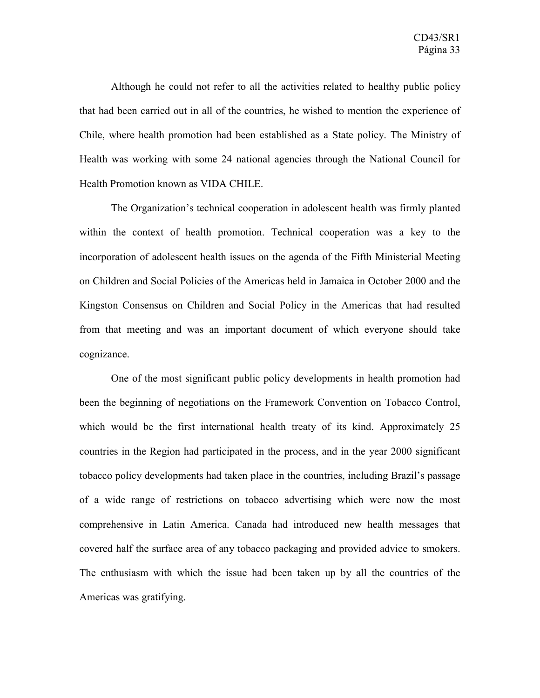Although he could not refer to all the activities related to healthy public policy that had been carried out in all of the countries, he wished to mention the experience of Chile, where health promotion had been established as a State policy. The Ministry of Health was working with some 24 national agencies through the National Council for Health Promotion known as VIDA CHILE.

The Organization's technical cooperation in adolescent health was firmly planted within the context of health promotion. Technical cooperation was a key to the incorporation of adolescent health issues on the agenda of the Fifth Ministerial Meeting on Children and Social Policies of the Americas held in Jamaica in October 2000 and the Kingston Consensus on Children and Social Policy in the Americas that had resulted from that meeting and was an important document of which everyone should take cognizance.

One of the most significant public policy developments in health promotion had been the beginning of negotiations on the Framework Convention on Tobacco Control, which would be the first international health treaty of its kind. Approximately 25 countries in the Region had participated in the process, and in the year 2000 significant tobacco policy developments had taken place in the countries, including Brazil's passage of a wide range of restrictions on tobacco advertising which were now the most comprehensive in Latin America. Canada had introduced new health messages that covered half the surface area of any tobacco packaging and provided advice to smokers. The enthusiasm with which the issue had been taken up by all the countries of the Americas was gratifying.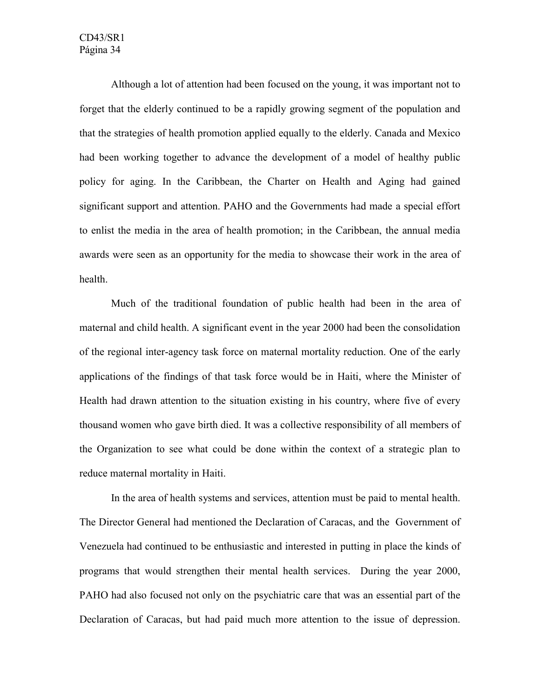Although a lot of attention had been focused on the young, it was important not to forget that the elderly continued to be a rapidly growing segment of the population and that the strategies of health promotion applied equally to the elderly. Canada and Mexico had been working together to advance the development of a model of healthy public policy for aging. In the Caribbean, the Charter on Health and Aging had gained significant support and attention. PAHO and the Governments had made a special effort to enlist the media in the area of health promotion; in the Caribbean, the annual media awards were seen as an opportunity for the media to showcase their work in the area of health.

Much of the traditional foundation of public health had been in the area of maternal and child health. A significant event in the year 2000 had been the consolidation of the regional inter-agency task force on maternal mortality reduction. One of the early applications of the findings of that task force would be in Haiti, where the Minister of Health had drawn attention to the situation existing in his country, where five of every thousand women who gave birth died. It was a collective responsibility of all members of the Organization to see what could be done within the context of a strategic plan to reduce maternal mortality in Haiti.

 In the area of health systems and services, attention must be paid to mental health. The Director General had mentioned the Declaration of Caracas, and the Government of Venezuela had continued to be enthusiastic and interested in putting in place the kinds of programs that would strengthen their mental health services. During the year 2000, PAHO had also focused not only on the psychiatric care that was an essential part of the Declaration of Caracas, but had paid much more attention to the issue of depression.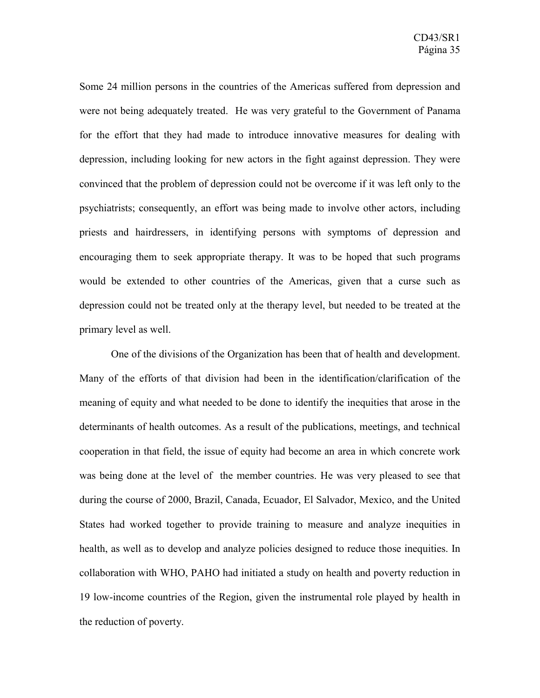Some 24 million persons in the countries of the Americas suffered from depression and were not being adequately treated. He was very grateful to the Government of Panama for the effort that they had made to introduce innovative measures for dealing with depression, including looking for new actors in the fight against depression. They were convinced that the problem of depression could not be overcome if it was left only to the psychiatrists; consequently, an effort was being made to involve other actors, including priests and hairdressers, in identifying persons with symptoms of depression and encouraging them to seek appropriate therapy. It was to be hoped that such programs would be extended to other countries of the Americas, given that a curse such as depression could not be treated only at the therapy level, but needed to be treated at the primary level as well.

One of the divisions of the Organization has been that of health and development. Many of the efforts of that division had been in the identification/clarification of the meaning of equity and what needed to be done to identify the inequities that arose in the determinants of health outcomes. As a result of the publications, meetings, and technical cooperation in that field, the issue of equity had become an area in which concrete work was being done at the level of the member countries. He was very pleased to see that during the course of 2000, Brazil, Canada, Ecuador, El Salvador, Mexico, and the United States had worked together to provide training to measure and analyze inequities in health, as well as to develop and analyze policies designed to reduce those inequities. In collaboration with WHO, PAHO had initiated a study on health and poverty reduction in 19 low-income countries of the Region, given the instrumental role played by health in the reduction of poverty.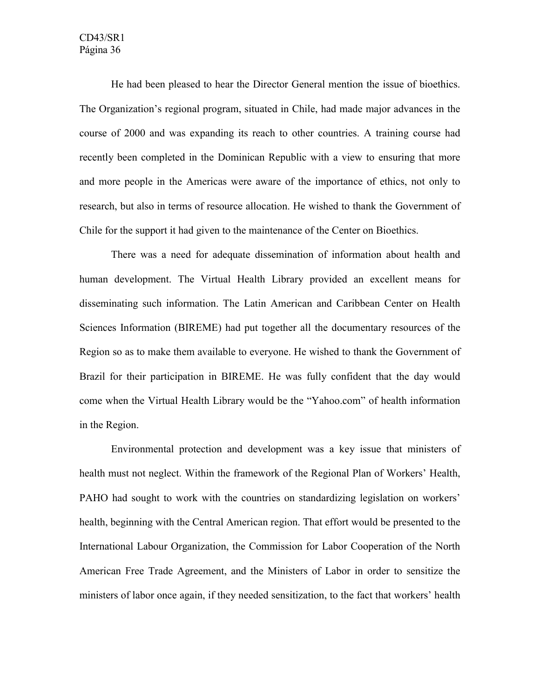He had been pleased to hear the Director General mention the issue of bioethics. The Organization's regional program, situated in Chile, had made major advances in the course of 2000 and was expanding its reach to other countries. A training course had recently been completed in the Dominican Republic with a view to ensuring that more and more people in the Americas were aware of the importance of ethics, not only to research, but also in terms of resource allocation. He wished to thank the Government of Chile for the support it had given to the maintenance of the Center on Bioethics.

There was a need for adequate dissemination of information about health and human development. The Virtual Health Library provided an excellent means for disseminating such information. The Latin American and Caribbean Center on Health Sciences Information (BIREME) had put together all the documentary resources of the Region so as to make them available to everyone. He wished to thank the Government of Brazil for their participation in BIREME. He was fully confident that the day would come when the Virtual Health Library would be the "Yahoo.com" of health information in the Region.

Environmental protection and development was a key issue that ministers of health must not neglect. Within the framework of the Regional Plan of Workers' Health, PAHO had sought to work with the countries on standardizing legislation on workers' health, beginning with the Central American region. That effort would be presented to the International Labour Organization, the Commission for Labor Cooperation of the North American Free Trade Agreement, and the Ministers of Labor in order to sensitize the ministers of labor once again, if they needed sensitization, to the fact that workers' health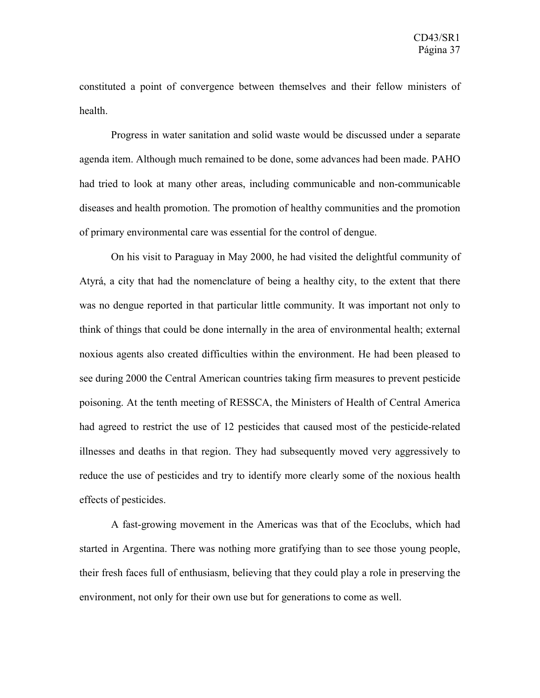constituted a point of convergence between themselves and their fellow ministers of health.

Progress in water sanitation and solid waste would be discussed under a separate agenda item. Although much remained to be done, some advances had been made. PAHO had tried to look at many other areas, including communicable and non-communicable diseases and health promotion. The promotion of healthy communities and the promotion of primary environmental care was essential for the control of dengue.

On his visit to Paraguay in May 2000, he had visited the delightful community of Atyrá, a city that had the nomenclature of being a healthy city, to the extent that there was no dengue reported in that particular little community. It was important not only to think of things that could be done internally in the area of environmental health; external noxious agents also created difficulties within the environment. He had been pleased to see during 2000 the Central American countries taking firm measures to prevent pesticide poisoning. At the tenth meeting of RESSCA, the Ministers of Health of Central America had agreed to restrict the use of 12 pesticides that caused most of the pesticide-related illnesses and deaths in that region. They had subsequently moved very aggressively to reduce the use of pesticides and try to identify more clearly some of the noxious health effects of pesticides.

A fast-growing movement in the Americas was that of the Ecoclubs, which had started in Argentina. There was nothing more gratifying than to see those young people, their fresh faces full of enthusiasm, believing that they could play a role in preserving the environment, not only for their own use but for generations to come as well.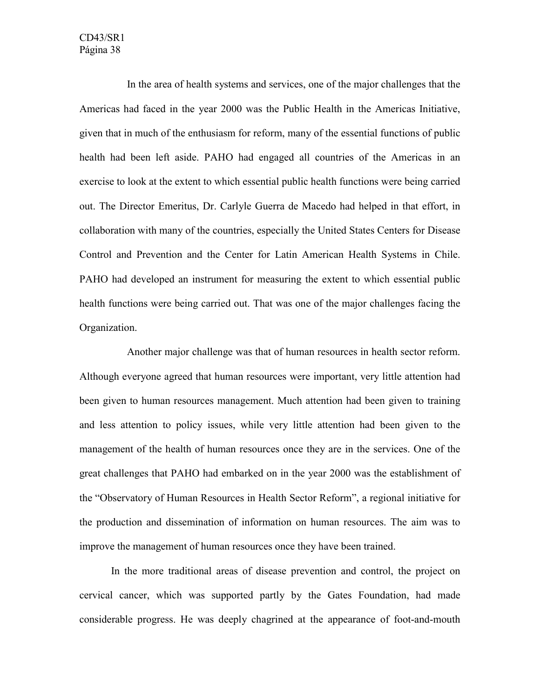In the area of health systems and services, one of the major challenges that the Americas had faced in the year 2000 was the Public Health in the Americas Initiative, given that in much of the enthusiasm for reform, many of the essential functions of public health had been left aside. PAHO had engaged all countries of the Americas in an exercise to look at the extent to which essential public health functions were being carried out. The Director Emeritus, Dr. Carlyle Guerra de Macedo had helped in that effort, in collaboration with many of the countries, especially the United States Centers for Disease Control and Prevention and the Center for Latin American Health Systems in Chile. PAHO had developed an instrument for measuring the extent to which essential public health functions were being carried out. That was one of the major challenges facing the Organization.

Another major challenge was that of human resources in health sector reform. Although everyone agreed that human resources were important, very little attention had been given to human resources management. Much attention had been given to training and less attention to policy issues, while very little attention had been given to the management of the health of human resources once they are in the services. One of the great challenges that PAHO had embarked on in the year 2000 was the establishment of the "Observatory of Human Resources in Health Sector Reform", a regional initiative for the production and dissemination of information on human resources. The aim was to improve the management of human resources once they have been trained.

In the more traditional areas of disease prevention and control, the project on cervical cancer, which was supported partly by the Gates Foundation, had made considerable progress. He was deeply chagrined at the appearance of foot-and-mouth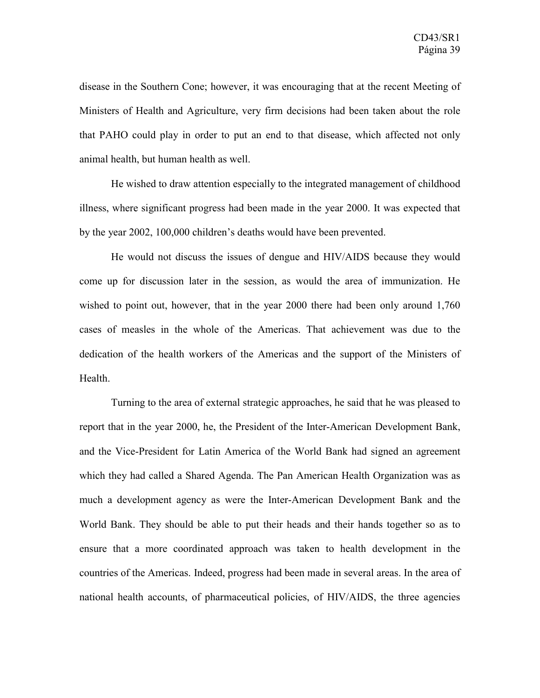disease in the Southern Cone; however, it was encouraging that at the recent Meeting of Ministers of Health and Agriculture, very firm decisions had been taken about the role that PAHO could play in order to put an end to that disease, which affected not only animal health, but human health as well.

He wished to draw attention especially to the integrated management of childhood illness, where significant progress had been made in the year 2000. It was expected that by the year 2002, 100,000 children's deaths would have been prevented.

He would not discuss the issues of dengue and HIV/AIDS because they would come up for discussion later in the session, as would the area of immunization. He wished to point out, however, that in the year 2000 there had been only around 1,760 cases of measles in the whole of the Americas. That achievement was due to the dedication of the health workers of the Americas and the support of the Ministers of Health.

Turning to the area of external strategic approaches, he said that he was pleased to report that in the year 2000, he, the President of the Inter-American Development Bank, and the Vice-President for Latin America of the World Bank had signed an agreement which they had called a Shared Agenda. The Pan American Health Organization was as much a development agency as were the Inter-American Development Bank and the World Bank. They should be able to put their heads and their hands together so as to ensure that a more coordinated approach was taken to health development in the countries of the Americas. Indeed, progress had been made in several areas. In the area of national health accounts, of pharmaceutical policies, of HIV/AIDS, the three agencies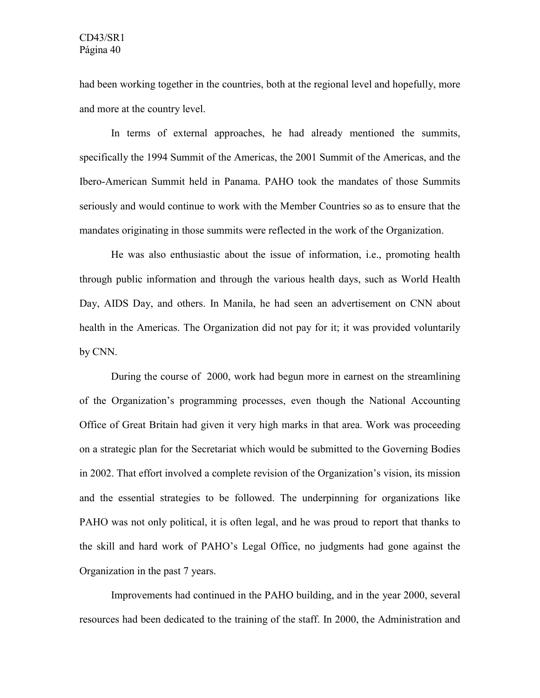had been working together in the countries, both at the regional level and hopefully, more and more at the country level.

In terms of external approaches, he had already mentioned the summits, specifically the 1994 Summit of the Americas, the 2001 Summit of the Americas, and the Ibero-American Summit held in Panama. PAHO took the mandates of those Summits seriously and would continue to work with the Member Countries so as to ensure that the mandates originating in those summits were reflected in the work of the Organization.

He was also enthusiastic about the issue of information, i.e., promoting health through public information and through the various health days, such as World Health Day, AIDS Day, and others. In Manila, he had seen an advertisement on CNN about health in the Americas. The Organization did not pay for it; it was provided voluntarily by CNN.

During the course of 2000, work had begun more in earnest on the streamlining of the Organization's programming processes, even though the National Accounting Office of Great Britain had given it very high marks in that area. Work was proceeding on a strategic plan for the Secretariat which would be submitted to the Governing Bodies in 2002. That effort involved a complete revision of the Organization's vision, its mission and the essential strategies to be followed. The underpinning for organizations like PAHO was not only political, it is often legal, and he was proud to report that thanks to the skill and hard work of PAHO's Legal Office, no judgments had gone against the Organization in the past 7 years.

Improvements had continued in the PAHO building, and in the year 2000, several resources had been dedicated to the training of the staff. In 2000, the Administration and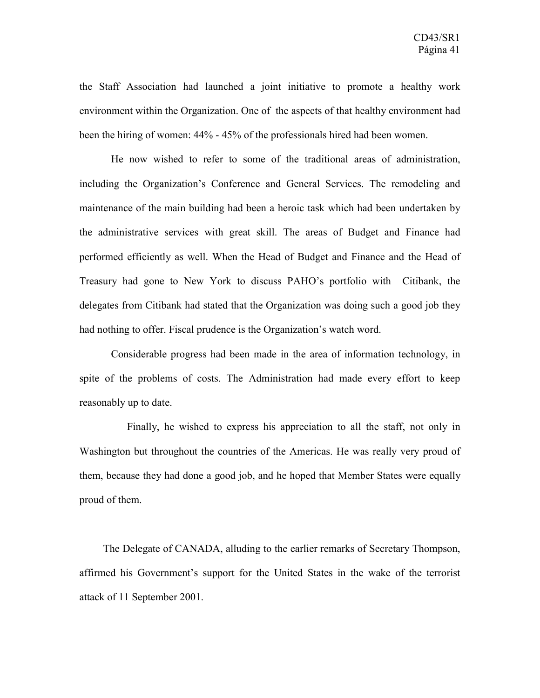the Staff Association had launched a joint initiative to promote a healthy work environment within the Organization. One of the aspects of that healthy environment had been the hiring of women: 44% - 45% of the professionals hired had been women.

He now wished to refer to some of the traditional areas of administration, including the Organization's Conference and General Services. The remodeling and maintenance of the main building had been a heroic task which had been undertaken by the administrative services with great skill. The areas of Budget and Finance had performed efficiently as well. When the Head of Budget and Finance and the Head of Treasury had gone to New York to discuss PAHO's portfolio with Citibank, the delegates from Citibank had stated that the Organization was doing such a good job they had nothing to offer. Fiscal prudence is the Organization's watch word.

Considerable progress had been made in the area of information technology, in spite of the problems of costs. The Administration had made every effort to keep reasonably up to date.

Finally, he wished to express his appreciation to all the staff, not only in Washington but throughout the countries of the Americas. He was really very proud of them, because they had done a good job, and he hoped that Member States were equally proud of them.

The Delegate of CANADA, alluding to the earlier remarks of Secretary Thompson, affirmed his Government's support for the United States in the wake of the terrorist attack of 11 September 2001.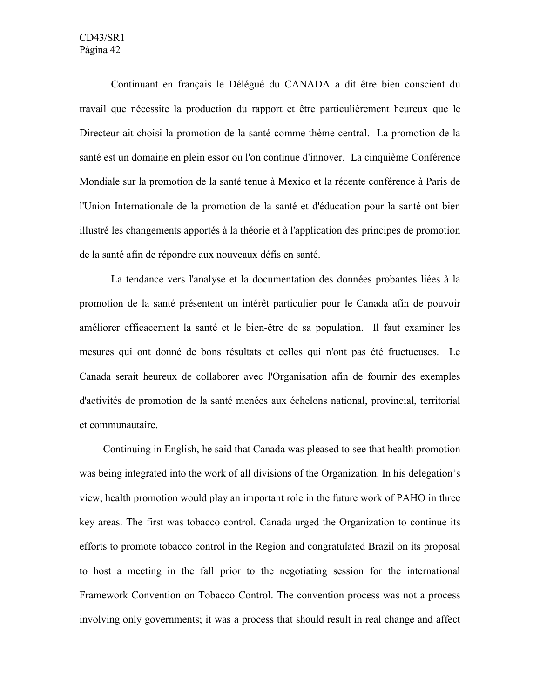Continuant en français le Délégué du CANADA a dit être bien conscient du travail que nécessite la production du rapport et être particulièrement heureux que le Directeur ait choisi la promotion de la santé comme thème central. La promotion de la santé est un domaine en plein essor ou l'on continue d'innover. La cinquième Conférence Mondiale sur la promotion de la santé tenue à Mexico et la récente conférence à Paris de l'Union Internationale de la promotion de la santé et d'éducation pour la santé ont bien illustré les changements apportés à la théorie et à l'application des principes de promotion de la santé afin de répondre aux nouveaux défis en santé.

La tendance vers l'analyse et la documentation des données probantes liées à la promotion de la santé présentent un intérêt particulier pour le Canada afin de pouvoir améliorer efficacement la santé et le bien-être de sa population. Il faut examiner les mesures qui ont donné de bons résultats et celles qui n'ont pas été fructueuses. Le Canada serait heureux de collaborer avec l'Organisation afin de fournir des exemples d'activités de promotion de la santé menées aux échelons national, provincial, territorial et communautaire.

Continuing in English, he said that Canada was pleased to see that health promotion was being integrated into the work of all divisions of the Organization. In his delegation's view, health promotion would play an important role in the future work of PAHO in three key areas. The first was tobacco control. Canada urged the Organization to continue its efforts to promote tobacco control in the Region and congratulated Brazil on its proposal to host a meeting in the fall prior to the negotiating session for the international Framework Convention on Tobacco Control. The convention process was not a process involving only governments; it was a process that should result in real change and affect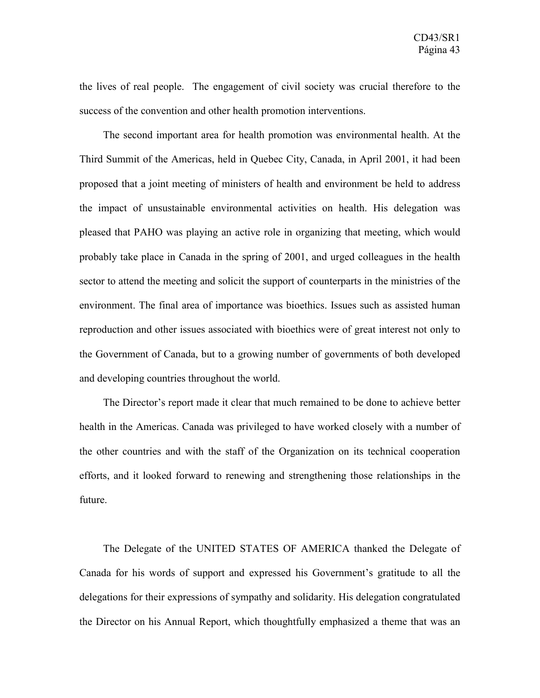the lives of real people. The engagement of civil society was crucial therefore to the success of the convention and other health promotion interventions.

The second important area for health promotion was environmental health. At the Third Summit of the Americas, held in Quebec City, Canada, in April 2001, it had been proposed that a joint meeting of ministers of health and environment be held to address the impact of unsustainable environmental activities on health. His delegation was pleased that PAHO was playing an active role in organizing that meeting, which would probably take place in Canada in the spring of 2001, and urged colleagues in the health sector to attend the meeting and solicit the support of counterparts in the ministries of the environment. The final area of importance was bioethics. Issues such as assisted human reproduction and other issues associated with bioethics were of great interest not only to the Government of Canada, but to a growing number of governments of both developed and developing countries throughout the world.

The Director's report made it clear that much remained to be done to achieve better health in the Americas. Canada was privileged to have worked closely with a number of the other countries and with the staff of the Organization on its technical cooperation efforts, and it looked forward to renewing and strengthening those relationships in the future.

The Delegate of the UNITED STATES OF AMERICA thanked the Delegate of Canada for his words of support and expressed his Government's gratitude to all the delegations for their expressions of sympathy and solidarity. His delegation congratulated the Director on his Annual Report, which thoughtfully emphasized a theme that was an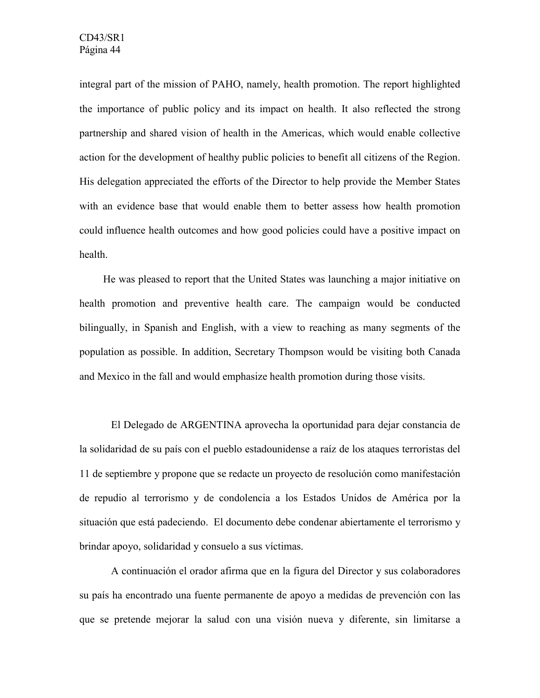integral part of the mission of PAHO, namely, health promotion. The report highlighted the importance of public policy and its impact on health. It also reflected the strong partnership and shared vision of health in the Americas, which would enable collective action for the development of healthy public policies to benefit all citizens of the Region. His delegation appreciated the efforts of the Director to help provide the Member States with an evidence base that would enable them to better assess how health promotion could influence health outcomes and how good policies could have a positive impact on health.

He was pleased to report that the United States was launching a major initiative on health promotion and preventive health care. The campaign would be conducted bilingually, in Spanish and English, with a view to reaching as many segments of the population as possible. In addition, Secretary Thompson would be visiting both Canada and Mexico in the fall and would emphasize health promotion during those visits.

El Delegado de ARGENTINA aprovecha la oportunidad para dejar constancia de la solidaridad de su país con el pueblo estadounidense a raíz de los ataques terroristas del 11 de septiembre y propone que se redacte un proyecto de resolución como manifestación de repudio al terrorismo y de condolencia a los Estados Unidos de América por la situación que está padeciendo. El documento debe condenar abiertamente el terrorismo y brindar apoyo, solidaridad y consuelo a sus víctimas.

A continuación el orador afirma que en la figura del Director y sus colaboradores su país ha encontrado una fuente permanente de apoyo a medidas de prevención con las que se pretende mejorar la salud con una visión nueva y diferente, sin limitarse a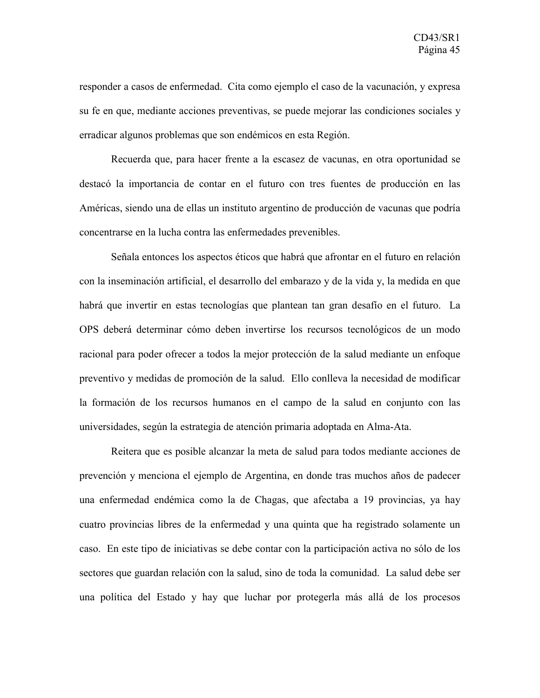responder a casos de enfermedad. Cita como ejemplo el caso de la vacunación, y expresa su fe en que, mediante acciones preventivas, se puede mejorar las condiciones sociales y erradicar algunos problemas que son endémicos en esta Región.

Recuerda que, para hacer frente a la escasez de vacunas, en otra oportunidad se destacó la importancia de contar en el futuro con tres fuentes de producción en las Américas, siendo una de ellas un instituto argentino de producción de vacunas que podría concentrarse en la lucha contra las enfermedades prevenibles.

Señala entonces los aspectos éticos que habrá que afrontar en el futuro en relación con la inseminación artificial, el desarrollo del embarazo y de la vida y, la medida en que habrá que invertir en estas tecnologías que plantean tan gran desafío en el futuro. La OPS deberá determinar cómo deben invertirse los recursos tecnológicos de un modo racional para poder ofrecer a todos la mejor protección de la salud mediante un enfoque preventivo y medidas de promoción de la salud. Ello conlleva la necesidad de modificar la formación de los recursos humanos en el campo de la salud en conjunto con las universidades, según la estrategia de atención primaria adoptada en Alma-Ata.

Reitera que es posible alcanzar la meta de salud para todos mediante acciones de prevención y menciona el ejemplo de Argentina, en donde tras muchos años de padecer una enfermedad endémica como la de Chagas, que afectaba a 19 provincias, ya hay cuatro provincias libres de la enfermedad y una quinta que ha registrado solamente un caso. En este tipo de iniciativas se debe contar con la participación activa no sólo de los sectores que guardan relación con la salud, sino de toda la comunidad. La salud debe ser una política del Estado y hay que luchar por protegerla más allá de los procesos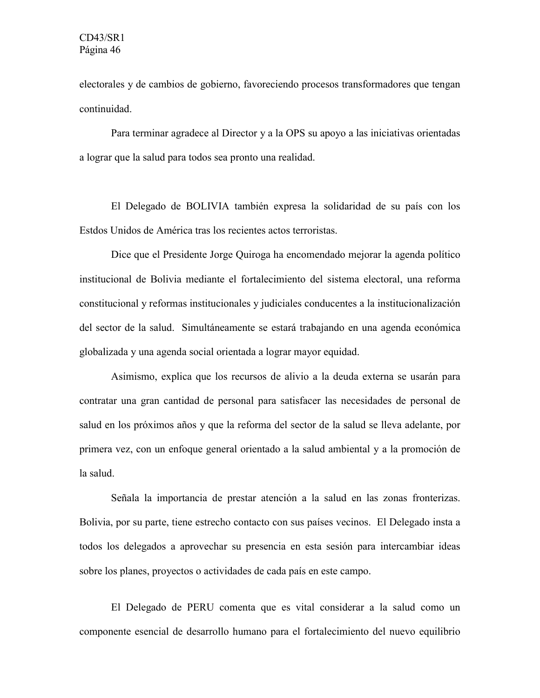electorales y de cambios de gobierno, favoreciendo procesos transformadores que tengan continuidad.

Para terminar agradece al Director y a la OPS su apoyo a las iniciativas orientadas a lograr que la salud para todos sea pronto una realidad.

El Delegado de BOLIVIA también expresa la solidaridad de su país con los Estdos Unidos de América tras los recientes actos terroristas.

Dice que el Presidente Jorge Quiroga ha encomendado mejorar la agenda político institucional de Bolivia mediante el fortalecimiento del sistema electoral, una reforma constitucional y reformas institucionales y judiciales conducentes a la institucionalización del sector de la salud. Simultáneamente se estará trabajando en una agenda económica globalizada y una agenda social orientada a lograr mayor equidad.

Asimismo, explica que los recursos de alivio a la deuda externa se usarán para contratar una gran cantidad de personal para satisfacer las necesidades de personal de salud en los próximos años y que la reforma del sector de la salud se lleva adelante, por primera vez, con un enfoque general orientado a la salud ambiental y a la promoción de la salud.

Señala la importancia de prestar atención a la salud en las zonas fronterizas. Bolivia, por su parte, tiene estrecho contacto con sus países vecinos. El Delegado insta a todos los delegados a aprovechar su presencia en esta sesión para intercambiar ideas sobre los planes, proyectos o actividades de cada país en este campo.

El Delegado de PERU comenta que es vital considerar a la salud como un componente esencial de desarrollo humano para el fortalecimiento del nuevo equilibrio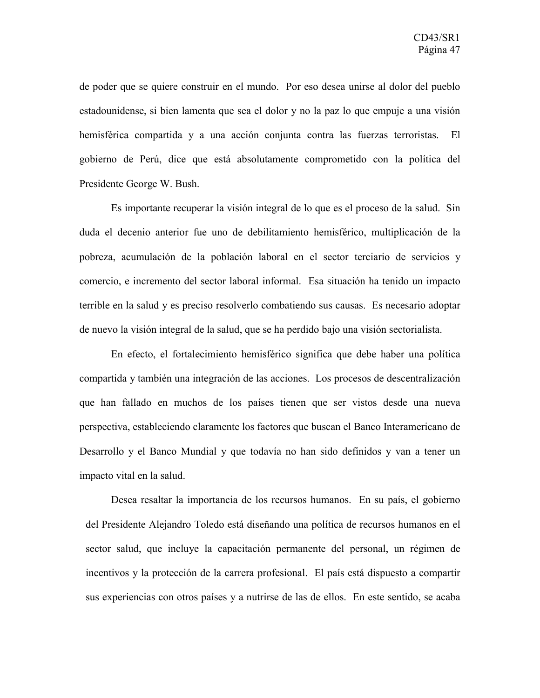de poder que se quiere construir en el mundo. Por eso desea unirse al dolor del pueblo estadounidense, si bien lamenta que sea el dolor y no la paz lo que empuje a una visión hemisférica compartida y a una acción conjunta contra las fuerzas terroristas. El gobierno de Perú, dice que está absolutamente comprometido con la política del Presidente George W. Bush.

Es importante recuperar la visión integral de lo que es el proceso de la salud. Sin duda el decenio anterior fue uno de debilitamiento hemisférico, multiplicación de la pobreza, acumulación de la población laboral en el sector terciario de servicios y comercio, e incremento del sector laboral informal. Esa situación ha tenido un impacto terrible en la salud y es preciso resolverlo combatiendo sus causas. Es necesario adoptar de nuevo la visión integral de la salud, que se ha perdido bajo una visión sectorialista.

En efecto, el fortalecimiento hemisférico significa que debe haber una política compartida y también una integración de las acciones. Los procesos de descentralización que han fallado en muchos de los países tienen que ser vistos desde una nueva perspectiva, estableciendo claramente los factores que buscan el Banco Interamericano de Desarrollo y el Banco Mundial y que todavía no han sido definidos y van a tener un impacto vital en la salud.

Desea resaltar la importancia de los recursos humanos. En su país, el gobierno del Presidente Alejandro Toledo está diseñando una política de recursos humanos en el sector salud, que incluye la capacitación permanente del personal, un régimen de incentivos y la protección de la carrera profesional. El país está dispuesto a compartir sus experiencias con otros países y a nutrirse de las de ellos. En este sentido, se acaba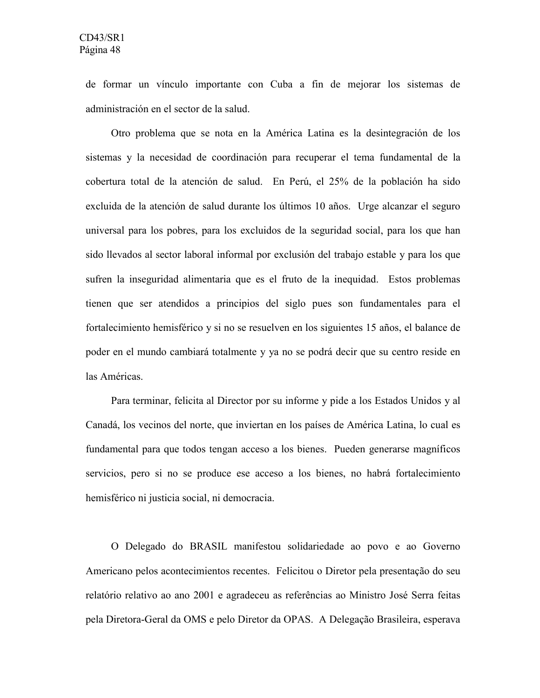de formar un vínculo importante con Cuba a fin de mejorar los sistemas de administración en el sector de la salud.

Otro problema que se nota en la América Latina es la desintegración de los sistemas y la necesidad de coordinación para recuperar el tema fundamental de la cobertura total de la atención de salud. En Perú, el 25% de la población ha sido excluida de la atención de salud durante los últimos 10 años. Urge alcanzar el seguro universal para los pobres, para los excluidos de la seguridad social, para los que han sido llevados al sector laboral informal por exclusión del trabajo estable y para los que sufren la inseguridad alimentaria que es el fruto de la inequidad. Estos problemas tienen que ser atendidos a principios del siglo pues son fundamentales para el fortalecimiento hemisférico y si no se resuelven en los siguientes 15 años, el balance de poder en el mundo cambiará totalmente y ya no se podrá decir que su centro reside en las Américas.

Para terminar, felicita al Director por su informe y pide a los Estados Unidos y al Canadá, los vecinos del norte, que inviertan en los países de América Latina, lo cual es fundamental para que todos tengan acceso a los bienes. Pueden generarse magníficos servicios, pero si no se produce ese acceso a los bienes, no habrá fortalecimiento hemisférico ni justicia social, ni democracia.

O Delegado do BRASIL manifestou solidariedade ao povo e ao Governo Americano pelos acontecimientos recentes. Felicitou o Diretor pela presentação do seu relatório relativo ao ano 2001 e agradeceu as referências ao Ministro José Serra feitas pela Diretora-Geral da OMS e pelo Diretor da OPAS. A Delegação Brasileira, esperava